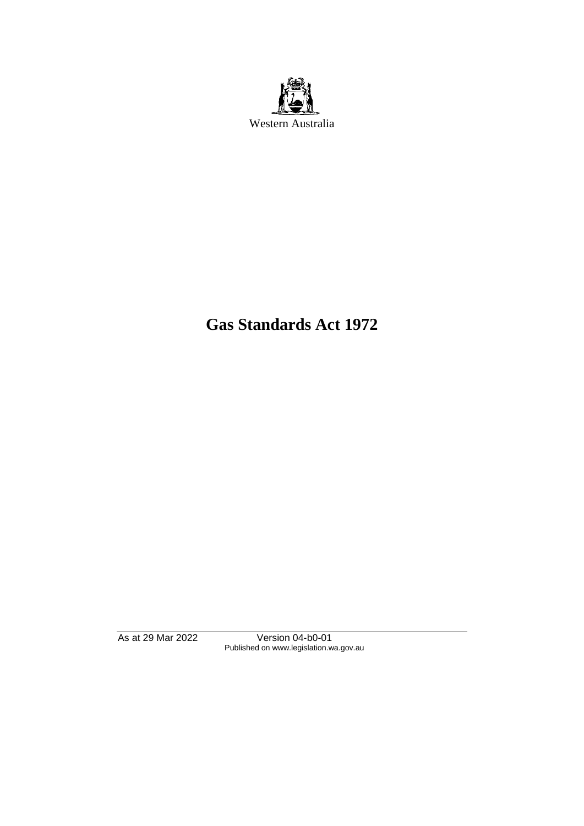

# **Gas Standards Act 1972**

As at 29 Mar 2022 Version 04-b0-01 Published on www.legislation.wa.gov.au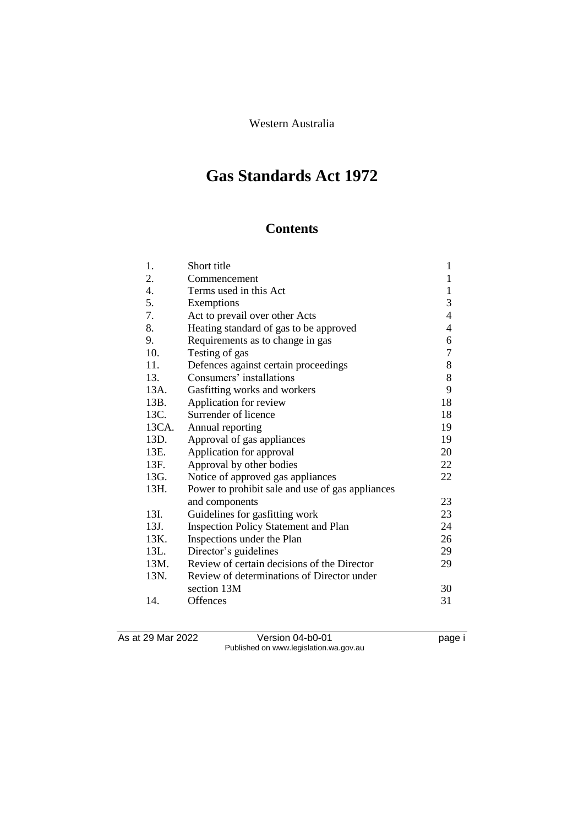Western Australia

# **Gas Standards Act 1972**

# **Contents**

| 1.               | Short title                                      | 1                        |
|------------------|--------------------------------------------------|--------------------------|
| 2.               | Commencement                                     | $\mathbf{1}$             |
| $\overline{4}$ . | Terms used in this Act                           | $\mathbf{1}$             |
| 5.               | Exemptions                                       | 3                        |
| 7.               | Act to prevail over other Acts                   | $\overline{4}$           |
| 8.               | Heating standard of gas to be approved           | $\overline{\mathcal{A}}$ |
| 9.               | Requirements as to change in gas                 | 6                        |
| 10.              | Testing of gas                                   | $\tau$                   |
| 11.              | Defences against certain proceedings             | 8                        |
| 13.              | Consumers' installations                         | 8                        |
| 13A.             | Gasfitting works and workers                     | 9                        |
| 13B.             | Application for review                           | 18                       |
| 13C.             | Surrender of licence                             | 18                       |
| 13CA.            | Annual reporting                                 | 19                       |
| 13D.             | Approval of gas appliances                       | 19                       |
| 13E.             | Application for approval                         | 20                       |
| 13F.             | Approval by other bodies                         | 22                       |
| 13G.             | Notice of approved gas appliances                | 22                       |
| 13H.             | Power to prohibit sale and use of gas appliances |                          |
|                  | and components                                   | 23                       |
| 13I.             | Guidelines for gasfitting work                   | 23                       |
| 13J.             | <b>Inspection Policy Statement and Plan</b>      | 24                       |
| 13K.             | Inspections under the Plan                       | 26                       |
| 13L.             | Director's guidelines                            | 29                       |
| 13M.             | Review of certain decisions of the Director      | 29                       |
| 13N.             | Review of determinations of Director under       |                          |
|                  | section 13M                                      | 30                       |
| 14.              | Offences                                         | 31                       |

As at 29 Mar 2022 Version 04-b0-01 page i Published on www.legislation.wa.gov.au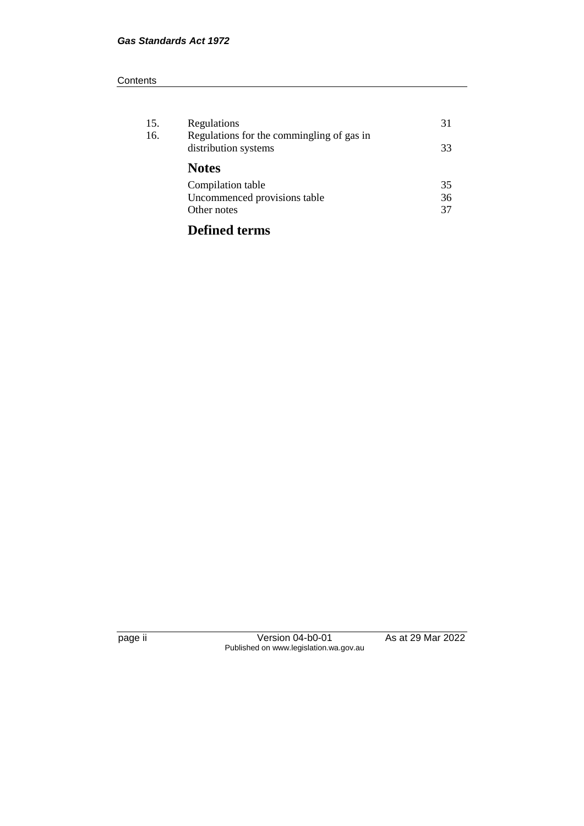#### **Contents**

| 15.<br>16. | Regulations<br>Regulations for the commingling of gas in<br>distribution systems | 31<br>33 |
|------------|----------------------------------------------------------------------------------|----------|
|            | <b>Notes</b>                                                                     |          |
|            | Compilation table<br>Uncommenced provisions table                                | 35<br>36 |
|            | Other notes                                                                      | 37       |

# **Defined terms**

page ii Version 04-b0-01 As at 29 Mar 2022 Published on www.legislation.wa.gov.au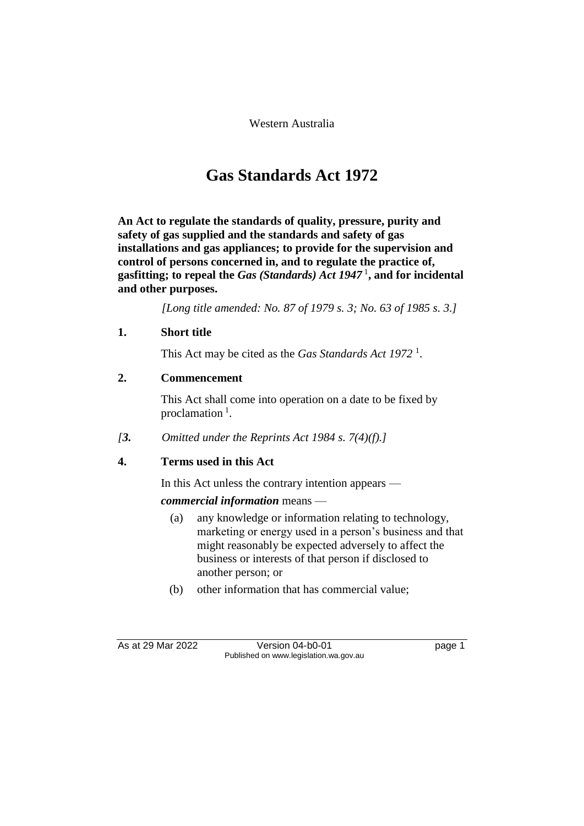Western Australia

# **Gas Standards Act 1972**

**An Act to regulate the standards of quality, pressure, purity and safety of gas supplied and the standards and safety of gas installations and gas appliances; to provide for the supervision and control of persons concerned in, and to regulate the practice of, gasfitting; to repeal the** *Gas (Standards) Act 1947* <sup>1</sup> **, and for incidental and other purposes.**

*[Long title amended: No. 87 of 1979 s. 3; No. 63 of 1985 s. 3.]*

#### **1. Short title**

This Act may be cited as the *Gas Standards Act 1972* <sup>1</sup> .

#### **2. Commencement**

This Act shall come into operation on a date to be fixed by proclamation<sup>1</sup>.

*[3. Omitted under the Reprints Act 1984 s. 7(4)(f).]*

#### **4. Terms used in this Act**

In this Act unless the contrary intention appears —

#### *commercial information* means —

- (a) any knowledge or information relating to technology, marketing or energy used in a person's business and that might reasonably be expected adversely to affect the business or interests of that person if disclosed to another person; or
- (b) other information that has commercial value;

As at 29 Mar 2022 Version 04-b0-01 page 1 Published on www.legislation.wa.gov.au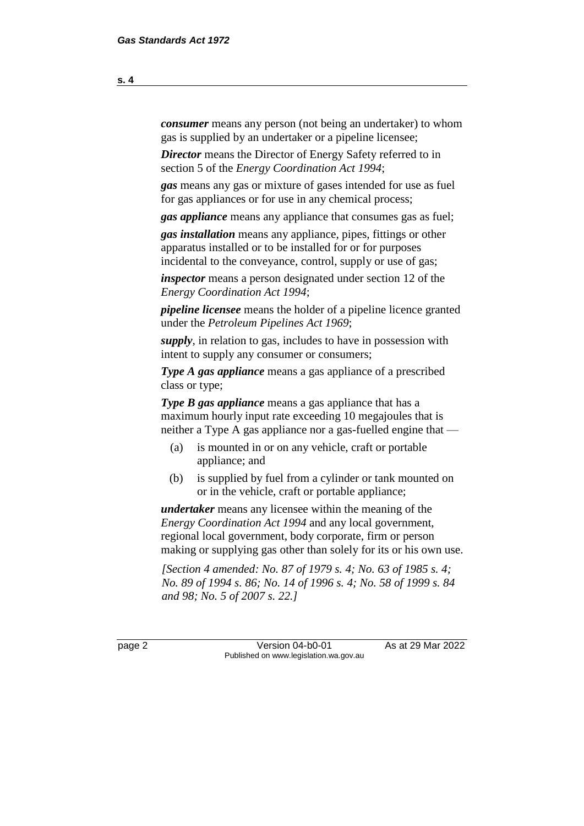*consumer* means any person (not being an undertaker) to whom gas is supplied by an undertaker or a pipeline licensee;

*Director* means the Director of Energy Safety referred to in section 5 of the *Energy Coordination Act 1994*;

*gas* means any gas or mixture of gases intended for use as fuel for gas appliances or for use in any chemical process;

*gas appliance* means any appliance that consumes gas as fuel;

*gas installation* means any appliance, pipes, fittings or other apparatus installed or to be installed for or for purposes incidental to the conveyance, control, supply or use of gas;

*inspector* means a person designated under section 12 of the *Energy Coordination Act 1994*;

*pipeline licensee* means the holder of a pipeline licence granted under the *Petroleum Pipelines Act 1969*;

*supply*, in relation to gas, includes to have in possession with intent to supply any consumer or consumers;

*Type A gas appliance* means a gas appliance of a prescribed class or type;

*Type B gas appliance* means a gas appliance that has a maximum hourly input rate exceeding 10 megajoules that is neither a Type A gas appliance nor a gas-fuelled engine that —

- (a) is mounted in or on any vehicle, craft or portable appliance; and
- (b) is supplied by fuel from a cylinder or tank mounted on or in the vehicle, craft or portable appliance;

*undertaker* means any licensee within the meaning of the *Energy Coordination Act 1994* and any local government, regional local government, body corporate, firm or person making or supplying gas other than solely for its or his own use.

*[Section 4 amended: No. 87 of 1979 s. 4; No. 63 of 1985 s. 4; No. 89 of 1994 s. 86; No. 14 of 1996 s. 4; No. 58 of 1999 s. 84 and 98; No. 5 of 2007 s. 22.]*

page 2 **Version 04-b0-01** As at 29 Mar 2022 Published on www.legislation.wa.gov.au

**s. 4**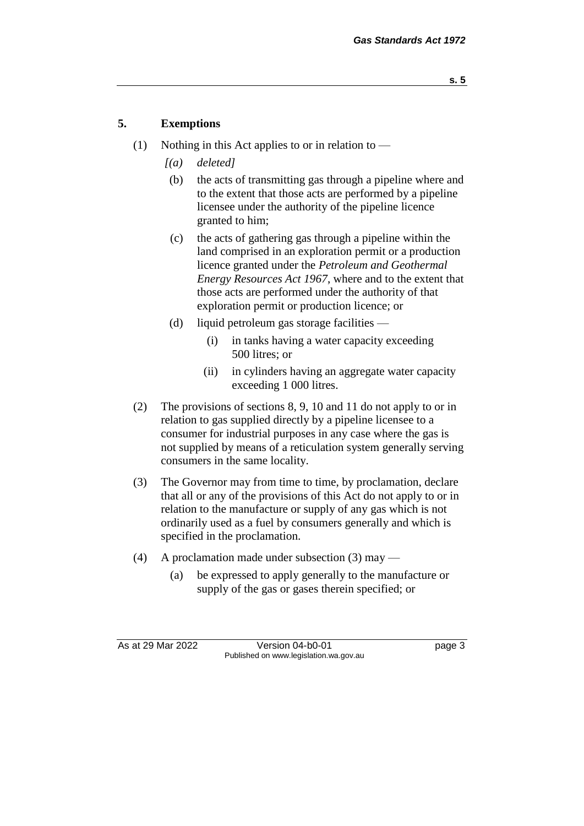### **5. Exemptions**

- (1) Nothing in this Act applies to or in relation to
	- *[(a) deleted]*
	- (b) the acts of transmitting gas through a pipeline where and to the extent that those acts are performed by a pipeline licensee under the authority of the pipeline licence granted to him;
	- (c) the acts of gathering gas through a pipeline within the land comprised in an exploration permit or a production licence granted under the *Petroleum and Geothermal Energy Resources Act 1967*, where and to the extent that those acts are performed under the authority of that exploration permit or production licence; or
	- (d) liquid petroleum gas storage facilities
		- (i) in tanks having a water capacity exceeding 500 litres; or
		- (ii) in cylinders having an aggregate water capacity exceeding 1 000 litres.
- (2) The provisions of sections 8, 9, 10 and 11 do not apply to or in relation to gas supplied directly by a pipeline licensee to a consumer for industrial purposes in any case where the gas is not supplied by means of a reticulation system generally serving consumers in the same locality.
- (3) The Governor may from time to time, by proclamation, declare that all or any of the provisions of this Act do not apply to or in relation to the manufacture or supply of any gas which is not ordinarily used as a fuel by consumers generally and which is specified in the proclamation.
- (4) A proclamation made under subsection (3) may
	- (a) be expressed to apply generally to the manufacture or supply of the gas or gases therein specified; or

As at 29 Mar 2022 Version 04-b0-01 page 3 Published on www.legislation.wa.gov.au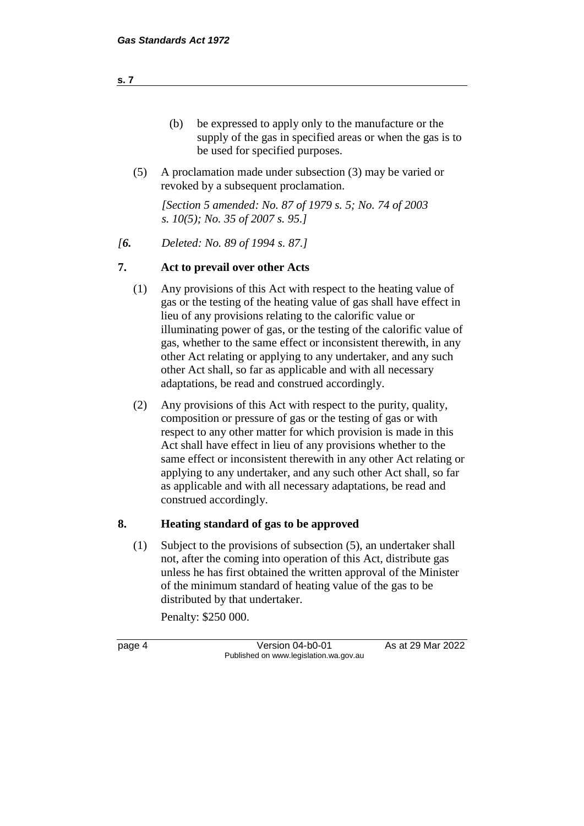| (b) | be expressed to apply only to the manufacture or the       |
|-----|------------------------------------------------------------|
|     | supply of the gas in specified areas or when the gas is to |
|     | be used for specified purposes.                            |

(5) A proclamation made under subsection (3) may be varied or revoked by a subsequent proclamation.

*[Section 5 amended: No. 87 of 1979 s. 5; No. 74 of 2003 s. 10(5); No. 35 of 2007 s. 95.]*

*[6. Deleted: No. 89 of 1994 s. 87.]*

#### **7. Act to prevail over other Acts**

- (1) Any provisions of this Act with respect to the heating value of gas or the testing of the heating value of gas shall have effect in lieu of any provisions relating to the calorific value or illuminating power of gas, or the testing of the calorific value of gas, whether to the same effect or inconsistent therewith, in any other Act relating or applying to any undertaker, and any such other Act shall, so far as applicable and with all necessary adaptations, be read and construed accordingly.
- (2) Any provisions of this Act with respect to the purity, quality, composition or pressure of gas or the testing of gas or with respect to any other matter for which provision is made in this Act shall have effect in lieu of any provisions whether to the same effect or inconsistent therewith in any other Act relating or applying to any undertaker, and any such other Act shall, so far as applicable and with all necessary adaptations, be read and construed accordingly.

#### **8. Heating standard of gas to be approved**

(1) Subject to the provisions of subsection (5), an undertaker shall not, after the coming into operation of this Act, distribute gas unless he has first obtained the written approval of the Minister of the minimum standard of heating value of the gas to be distributed by that undertaker.

Penalty: \$250 000.

page 4 Version 04-b0-01 As at 29 Mar 2022 Published on www.legislation.wa.gov.au

**s. 7**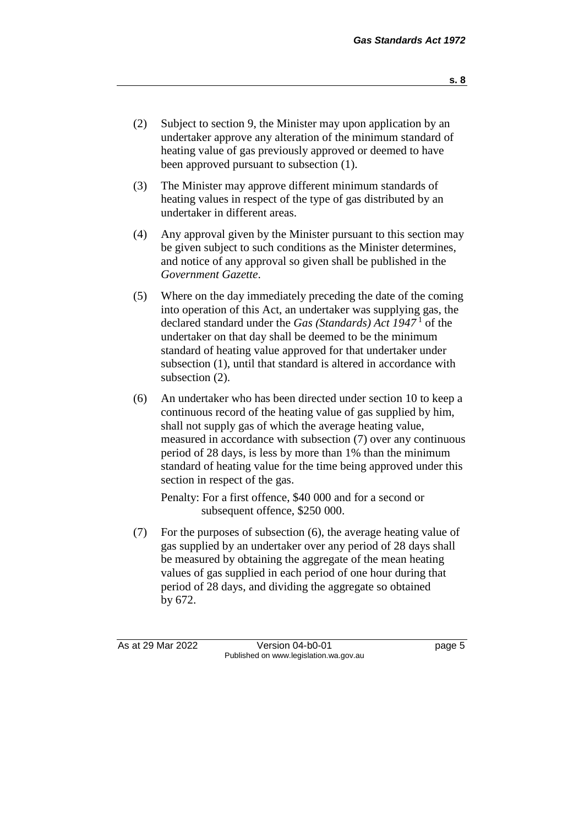- (2) Subject to section 9, the Minister may upon application by an undertaker approve any alteration of the minimum standard of heating value of gas previously approved or deemed to have been approved pursuant to subsection (1).
- (3) The Minister may approve different minimum standards of heating values in respect of the type of gas distributed by an undertaker in different areas.
- (4) Any approval given by the Minister pursuant to this section may be given subject to such conditions as the Minister determines, and notice of any approval so given shall be published in the *Government Gazette*.
- (5) Where on the day immediately preceding the date of the coming into operation of this Act, an undertaker was supplying gas, the declared standard under the *Gas (Standards) Act 1947* <sup>1</sup> of the undertaker on that day shall be deemed to be the minimum standard of heating value approved for that undertaker under subsection (1), until that standard is altered in accordance with subsection  $(2)$ .
- (6) An undertaker who has been directed under section 10 to keep a continuous record of the heating value of gas supplied by him, shall not supply gas of which the average heating value, measured in accordance with subsection (7) over any continuous period of 28 days, is less by more than 1% than the minimum standard of heating value for the time being approved under this section in respect of the gas.

Penalty: For a first offence, \$40 000 and for a second or subsequent offence, \$250 000.

(7) For the purposes of subsection (6), the average heating value of gas supplied by an undertaker over any period of 28 days shall be measured by obtaining the aggregate of the mean heating values of gas supplied in each period of one hour during that period of 28 days, and dividing the aggregate so obtained by 672.

As at 29 Mar 2022 Version 04-b0-01 page 5 Published on www.legislation.wa.gov.au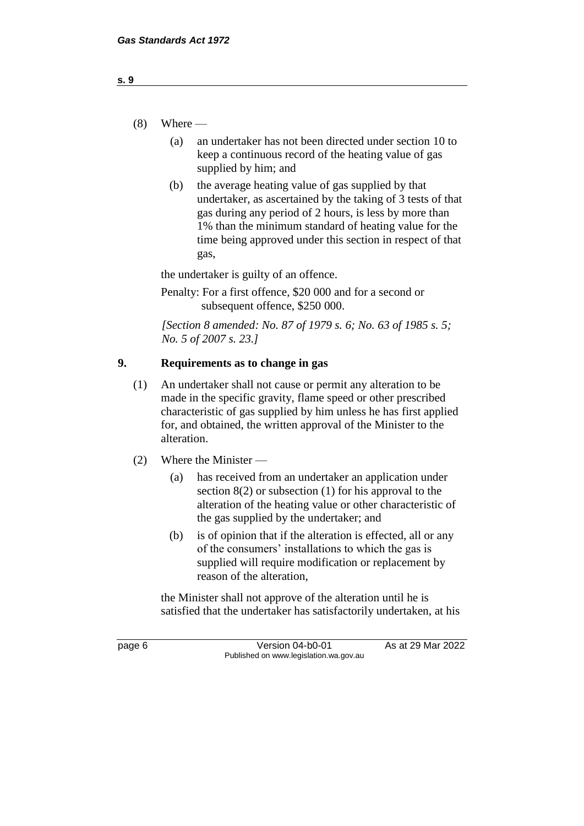- $(8)$  Where
	- (a) an undertaker has not been directed under section 10 to keep a continuous record of the heating value of gas supplied by him; and
	- (b) the average heating value of gas supplied by that undertaker, as ascertained by the taking of 3 tests of that gas during any period of 2 hours, is less by more than 1% than the minimum standard of heating value for the time being approved under this section in respect of that gas,

the undertaker is guilty of an offence.

Penalty: For a first offence, \$20 000 and for a second or subsequent offence, \$250 000.

*[Section 8 amended: No. 87 of 1979 s. 6; No. 63 of 1985 s. 5; No. 5 of 2007 s. 23.]*

## **9. Requirements as to change in gas**

- (1) An undertaker shall not cause or permit any alteration to be made in the specific gravity, flame speed or other prescribed characteristic of gas supplied by him unless he has first applied for, and obtained, the written approval of the Minister to the alteration.
- (2) Where the Minister
	- (a) has received from an undertaker an application under section  $8(2)$  or subsection  $(1)$  for his approval to the alteration of the heating value or other characteristic of the gas supplied by the undertaker; and
	- (b) is of opinion that if the alteration is effected, all or any of the consumers' installations to which the gas is supplied will require modification or replacement by reason of the alteration,

the Minister shall not approve of the alteration until he is satisfied that the undertaker has satisfactorily undertaken, at his

page 6 Version 04-b0-01 As at 29 Mar 2022 Published on www.legislation.wa.gov.au

**s. 9**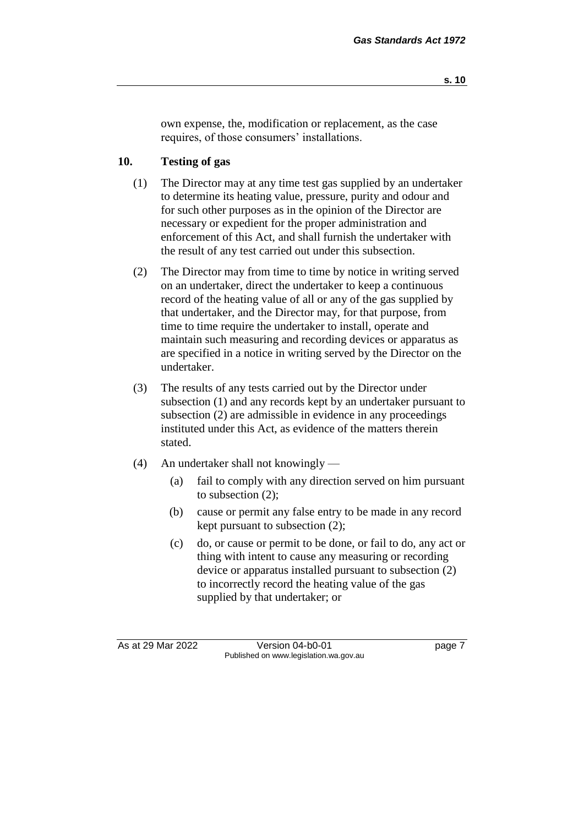own expense, the, modification or replacement, as the case requires, of those consumers' installations.

## **10. Testing of gas**

- (1) The Director may at any time test gas supplied by an undertaker to determine its heating value, pressure, purity and odour and for such other purposes as in the opinion of the Director are necessary or expedient for the proper administration and enforcement of this Act, and shall furnish the undertaker with the result of any test carried out under this subsection.
- (2) The Director may from time to time by notice in writing served on an undertaker, direct the undertaker to keep a continuous record of the heating value of all or any of the gas supplied by that undertaker, and the Director may, for that purpose, from time to time require the undertaker to install, operate and maintain such measuring and recording devices or apparatus as are specified in a notice in writing served by the Director on the undertaker.
- (3) The results of any tests carried out by the Director under subsection (1) and any records kept by an undertaker pursuant to subsection (2) are admissible in evidence in any proceedings instituted under this Act, as evidence of the matters therein stated.
- (4) An undertaker shall not knowingly
	- (a) fail to comply with any direction served on him pursuant to subsection (2);
	- (b) cause or permit any false entry to be made in any record kept pursuant to subsection (2);
	- (c) do, or cause or permit to be done, or fail to do, any act or thing with intent to cause any measuring or recording device or apparatus installed pursuant to subsection (2) to incorrectly record the heating value of the gas supplied by that undertaker; or

As at 29 Mar 2022 Version 04-b0-01 page 7 Published on www.legislation.wa.gov.au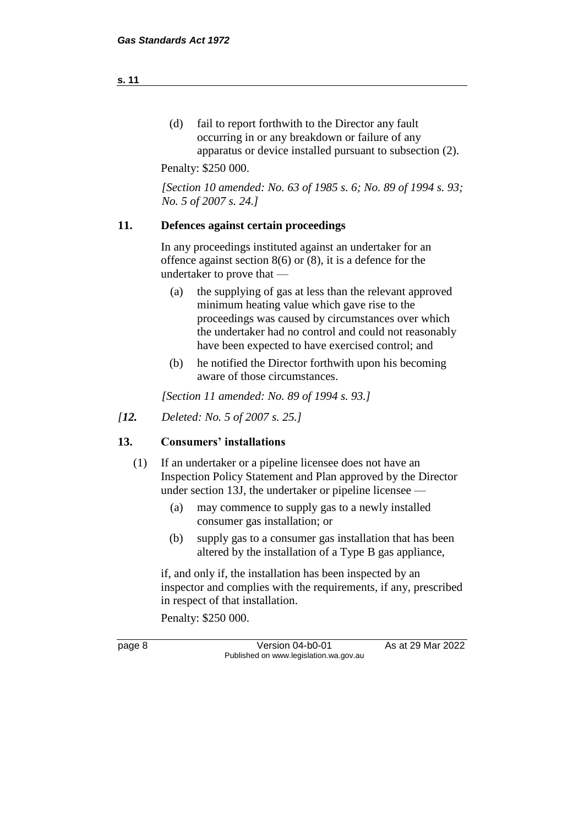(d) fail to report forthwith to the Director any fault occurring in or any breakdown or failure of any apparatus or device installed pursuant to subsection (2).

Penalty: \$250 000.

*[Section 10 amended: No. 63 of 1985 s. 6; No. 89 of 1994 s. 93; No. 5 of 2007 s. 24.]*

#### **11. Defences against certain proceedings**

In any proceedings instituted against an undertaker for an offence against section 8(6) or (8), it is a defence for the undertaker to prove that —

- (a) the supplying of gas at less than the relevant approved minimum heating value which gave rise to the proceedings was caused by circumstances over which the undertaker had no control and could not reasonably have been expected to have exercised control; and
- (b) he notified the Director forthwith upon his becoming aware of those circumstances.

*[Section 11 amended: No. 89 of 1994 s. 93.]*

*[12. Deleted: No. 5 of 2007 s. 25.]*

#### **13. Consumers' installations**

- (1) If an undertaker or a pipeline licensee does not have an Inspection Policy Statement and Plan approved by the Director under section 13J, the undertaker or pipeline licensee —
	- (a) may commence to supply gas to a newly installed consumer gas installation; or
	- (b) supply gas to a consumer gas installation that has been altered by the installation of a Type B gas appliance,

if, and only if, the installation has been inspected by an inspector and complies with the requirements, if any, prescribed in respect of that installation.

Penalty: \$250 000.

page 8 Version 04-b0-01 As at 29 Mar 2022 Published on www.legislation.wa.gov.au

**s. 11**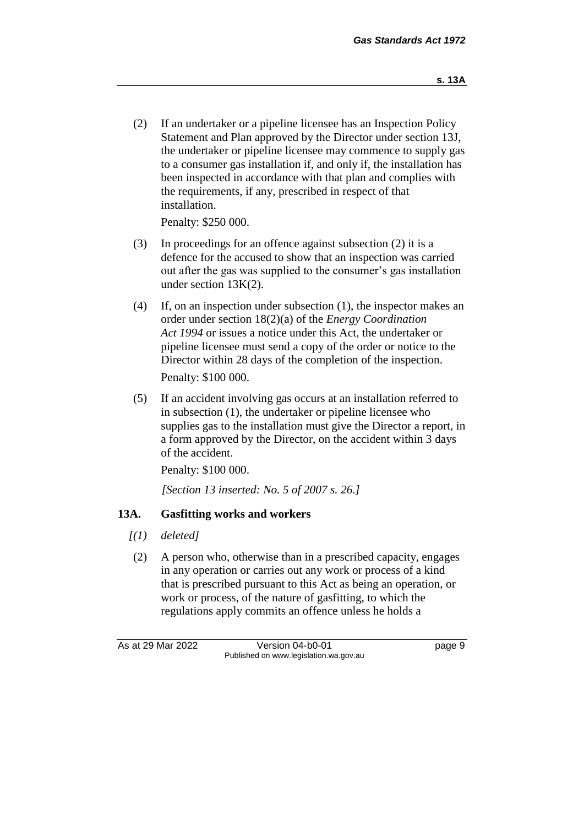(2) If an undertaker or a pipeline licensee has an Inspection Policy Statement and Plan approved by the Director under section 13J, the undertaker or pipeline licensee may commence to supply gas to a consumer gas installation if, and only if, the installation has been inspected in accordance with that plan and complies with the requirements, if any, prescribed in respect of that installation.

Penalty: \$250 000.

- (3) In proceedings for an offence against subsection (2) it is a defence for the accused to show that an inspection was carried out after the gas was supplied to the consumer's gas installation under section 13K(2).
- (4) If, on an inspection under subsection (1), the inspector makes an order under section 18(2)(a) of the *Energy Coordination Act 1994* or issues a notice under this Act, the undertaker or pipeline licensee must send a copy of the order or notice to the Director within 28 days of the completion of the inspection. Penalty: \$100 000.
- (5) If an accident involving gas occurs at an installation referred to in subsection (1), the undertaker or pipeline licensee who supplies gas to the installation must give the Director a report, in a form approved by the Director, on the accident within 3 days of the accident.

Penalty: \$100 000.

*[Section 13 inserted: No. 5 of 2007 s. 26.]*

#### **13A. Gasfitting works and workers**

- *[(1) deleted]*
- (2) A person who, otherwise than in a prescribed capacity, engages in any operation or carries out any work or process of a kind that is prescribed pursuant to this Act as being an operation, or work or process, of the nature of gasfitting, to which the regulations apply commits an offence unless he holds a

As at 29 Mar 2022 Version 04-b0-01 page 9 Published on www.legislation.wa.gov.au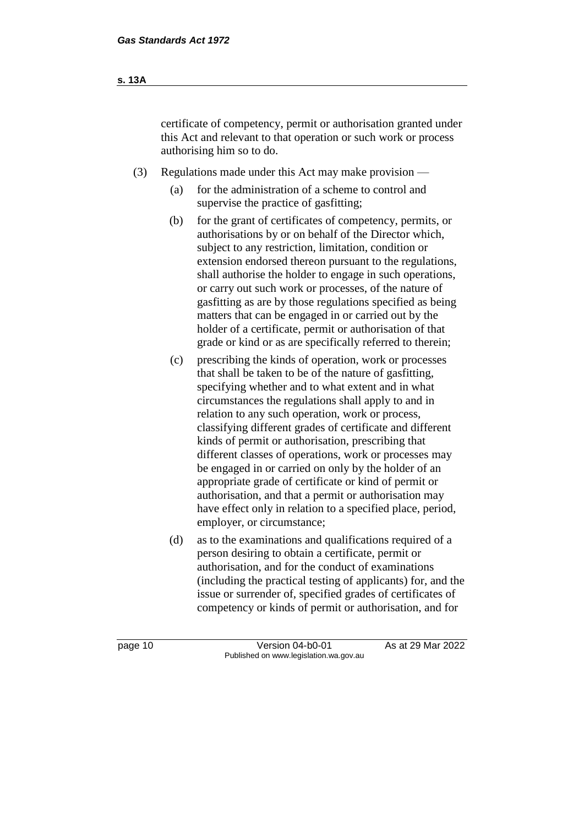- (3) Regulations made under this Act may make provision
	- (a) for the administration of a scheme to control and supervise the practice of gasfitting;
	- (b) for the grant of certificates of competency, permits, or authorisations by or on behalf of the Director which, subject to any restriction, limitation, condition or extension endorsed thereon pursuant to the regulations, shall authorise the holder to engage in such operations, or carry out such work or processes, of the nature of gasfitting as are by those regulations specified as being matters that can be engaged in or carried out by the holder of a certificate, permit or authorisation of that grade or kind or as are specifically referred to therein;
	- (c) prescribing the kinds of operation, work or processes that shall be taken to be of the nature of gasfitting, specifying whether and to what extent and in what circumstances the regulations shall apply to and in relation to any such operation, work or process, classifying different grades of certificate and different kinds of permit or authorisation, prescribing that different classes of operations, work or processes may be engaged in or carried on only by the holder of an appropriate grade of certificate or kind of permit or authorisation, and that a permit or authorisation may have effect only in relation to a specified place, period, employer, or circumstance;
	- (d) as to the examinations and qualifications required of a person desiring to obtain a certificate, permit or authorisation, and for the conduct of examinations (including the practical testing of applicants) for, and the issue or surrender of, specified grades of certificates of competency or kinds of permit or authorisation, and for

**s. 13A**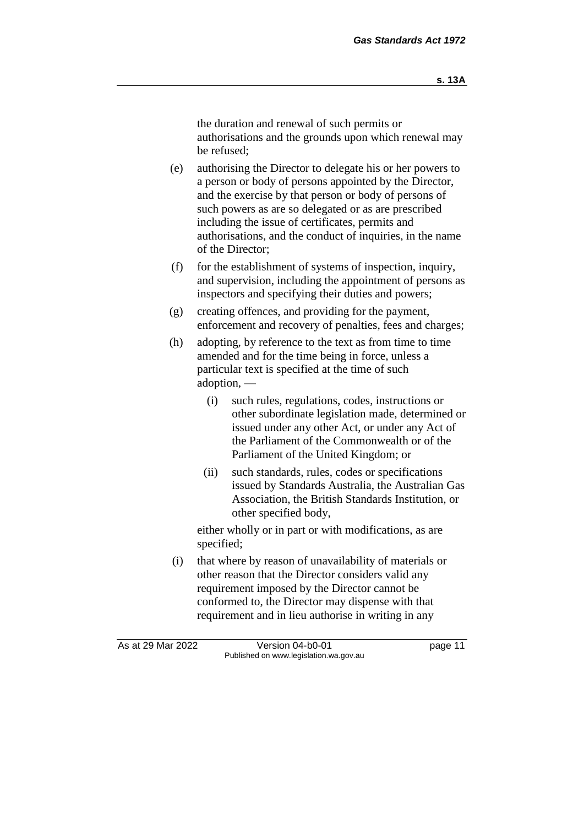the duration and renewal of such permits or authorisations and the grounds upon which renewal may be refused;

- (e) authorising the Director to delegate his or her powers to a person or body of persons appointed by the Director, and the exercise by that person or body of persons of such powers as are so delegated or as are prescribed including the issue of certificates, permits and authorisations, and the conduct of inquiries, in the name of the Director;
- (f) for the establishment of systems of inspection, inquiry, and supervision, including the appointment of persons as inspectors and specifying their duties and powers;
- (g) creating offences, and providing for the payment, enforcement and recovery of penalties, fees and charges;
- (h) adopting, by reference to the text as from time to time amended and for the time being in force, unless a particular text is specified at the time of such adoption, —
	- (i) such rules, regulations, codes, instructions or other subordinate legislation made, determined or issued under any other Act, or under any Act of the Parliament of the Commonwealth or of the Parliament of the United Kingdom; or
	- (ii) such standards, rules, codes or specifications issued by Standards Australia, the Australian Gas Association, the British Standards Institution, or other specified body,

either wholly or in part or with modifications, as are specified;

(i) that where by reason of unavailability of materials or other reason that the Director considers valid any requirement imposed by the Director cannot be conformed to, the Director may dispense with that requirement and in lieu authorise in writing in any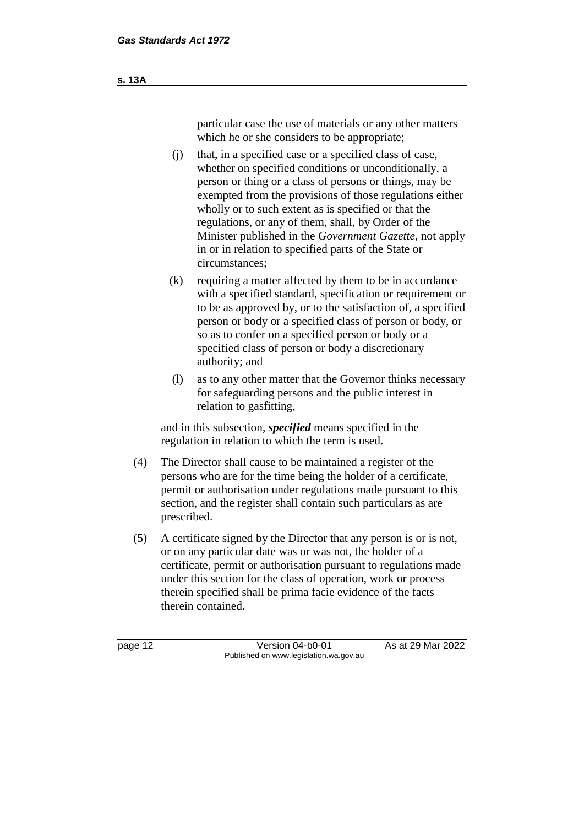particular case the use of materials or any other matters which he or she considers to be appropriate;

- (j) that, in a specified case or a specified class of case, whether on specified conditions or unconditionally, a person or thing or a class of persons or things, may be exempted from the provisions of those regulations either wholly or to such extent as is specified or that the regulations, or any of them, shall, by Order of the Minister published in the *Government Gazette*, not apply in or in relation to specified parts of the State or circumstances;
- (k) requiring a matter affected by them to be in accordance with a specified standard, specification or requirement or to be as approved by, or to the satisfaction of, a specified person or body or a specified class of person or body, or so as to confer on a specified person or body or a specified class of person or body a discretionary authority; and
- (l) as to any other matter that the Governor thinks necessary for safeguarding persons and the public interest in relation to gasfitting,

and in this subsection, *specified* means specified in the regulation in relation to which the term is used.

- (4) The Director shall cause to be maintained a register of the persons who are for the time being the holder of a certificate, permit or authorisation under regulations made pursuant to this section, and the register shall contain such particulars as are prescribed.
- (5) A certificate signed by the Director that any person is or is not, or on any particular date was or was not, the holder of a certificate, permit or authorisation pursuant to regulations made under this section for the class of operation, work or process therein specified shall be prima facie evidence of the facts therein contained.

page 12 **Version 04-b0-01** As at 29 Mar 2022 Published on www.legislation.wa.gov.au

**s. 13A**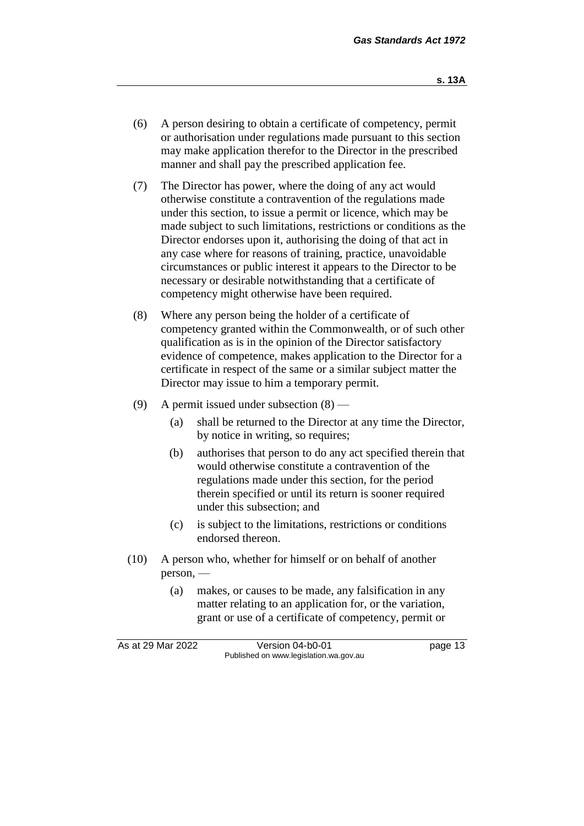- (6) A person desiring to obtain a certificate of competency, permit or authorisation under regulations made pursuant to this section may make application therefor to the Director in the prescribed manner and shall pay the prescribed application fee.
- (7) The Director has power, where the doing of any act would otherwise constitute a contravention of the regulations made under this section, to issue a permit or licence, which may be made subject to such limitations, restrictions or conditions as the Director endorses upon it, authorising the doing of that act in any case where for reasons of training, practice, unavoidable circumstances or public interest it appears to the Director to be necessary or desirable notwithstanding that a certificate of competency might otherwise have been required.
- (8) Where any person being the holder of a certificate of competency granted within the Commonwealth, or of such other qualification as is in the opinion of the Director satisfactory evidence of competence, makes application to the Director for a certificate in respect of the same or a similar subject matter the Director may issue to him a temporary permit.
- (9) A permit issued under subsection (8)
	- (a) shall be returned to the Director at any time the Director, by notice in writing, so requires;
	- (b) authorises that person to do any act specified therein that would otherwise constitute a contravention of the regulations made under this section, for the period therein specified or until its return is sooner required under this subsection; and
	- (c) is subject to the limitations, restrictions or conditions endorsed thereon.
- (10) A person who, whether for himself or on behalf of another person, —
	- (a) makes, or causes to be made, any falsification in any matter relating to an application for, or the variation, grant or use of a certificate of competency, permit or

As at 29 Mar 2022 Version 04-b0-01 page 13 Published on www.legislation.wa.gov.au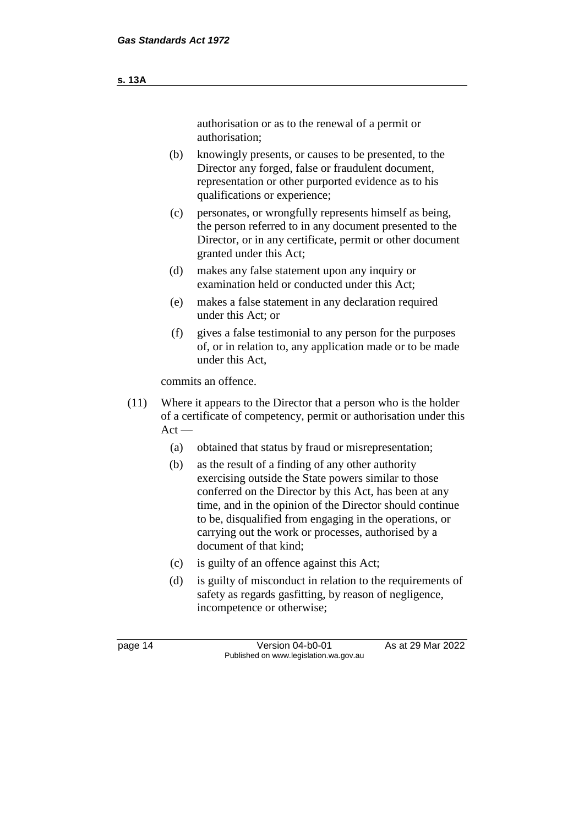#### **s. 13A**

authorisation or as to the renewal of a permit or authorisation;

- (b) knowingly presents, or causes to be presented, to the Director any forged, false or fraudulent document, representation or other purported evidence as to his qualifications or experience;
- (c) personates, or wrongfully represents himself as being, the person referred to in any document presented to the Director, or in any certificate, permit or other document granted under this Act;
- (d) makes any false statement upon any inquiry or examination held or conducted under this Act;
- (e) makes a false statement in any declaration required under this Act; or
- (f) gives a false testimonial to any person for the purposes of, or in relation to, any application made or to be made under this Act,

commits an offence.

- (11) Where it appears to the Director that a person who is the holder of a certificate of competency, permit or authorisation under this  $Act -$ 
	- (a) obtained that status by fraud or misrepresentation;
	- (b) as the result of a finding of any other authority exercising outside the State powers similar to those conferred on the Director by this Act, has been at any time, and in the opinion of the Director should continue to be, disqualified from engaging in the operations, or carrying out the work or processes, authorised by a document of that kind;
	- (c) is guilty of an offence against this Act;
	- (d) is guilty of misconduct in relation to the requirements of safety as regards gasfitting, by reason of negligence, incompetence or otherwise;

page 14 Version 04-b0-01 As at 29 Mar 2022 Published on www.legislation.wa.gov.au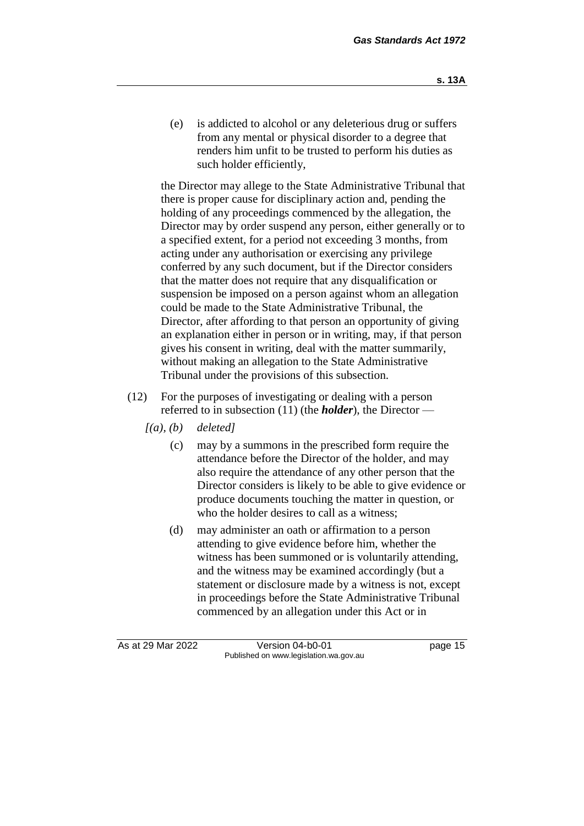(e) is addicted to alcohol or any deleterious drug or suffers from any mental or physical disorder to a degree that renders him unfit to be trusted to perform his duties as such holder efficiently,

the Director may allege to the State Administrative Tribunal that there is proper cause for disciplinary action and, pending the holding of any proceedings commenced by the allegation, the Director may by order suspend any person, either generally or to a specified extent, for a period not exceeding 3 months, from acting under any authorisation or exercising any privilege conferred by any such document, but if the Director considers that the matter does not require that any disqualification or suspension be imposed on a person against whom an allegation could be made to the State Administrative Tribunal, the Director, after affording to that person an opportunity of giving an explanation either in person or in writing, may, if that person gives his consent in writing, deal with the matter summarily, without making an allegation to the State Administrative Tribunal under the provisions of this subsection.

- (12) For the purposes of investigating or dealing with a person referred to in subsection (11) (the *holder*), the Director —
	- *[(a), (b) deleted]*
		- (c) may by a summons in the prescribed form require the attendance before the Director of the holder, and may also require the attendance of any other person that the Director considers is likely to be able to give evidence or produce documents touching the matter in question, or who the holder desires to call as a witness;
		- (d) may administer an oath or affirmation to a person attending to give evidence before him, whether the witness has been summoned or is voluntarily attending, and the witness may be examined accordingly (but a statement or disclosure made by a witness is not, except in proceedings before the State Administrative Tribunal commenced by an allegation under this Act or in

As at 29 Mar 2022 Version 04-b0-01 page 15 Published on www.legislation.wa.gov.au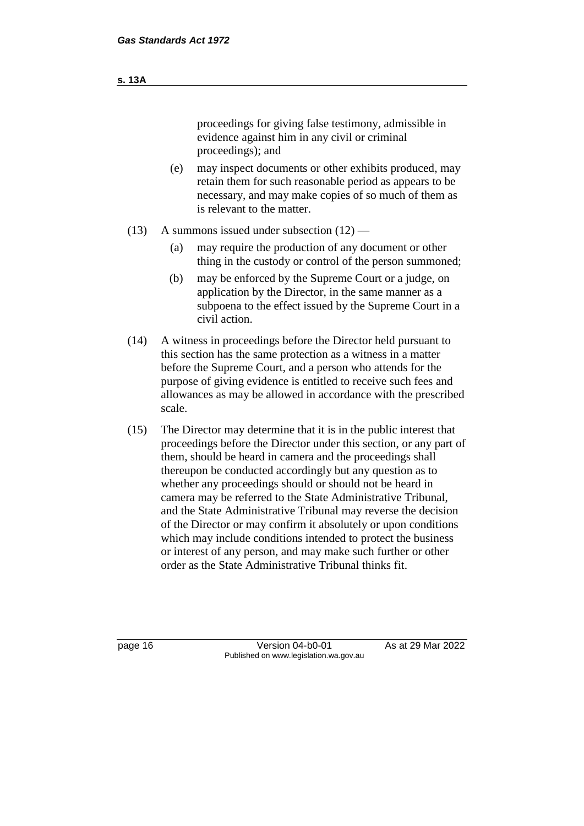|     | proceedings for giving false testimony, admissible in<br>evidence against him in any civil or criminal<br>proceedings); and                                                                            |
|-----|--------------------------------------------------------------------------------------------------------------------------------------------------------------------------------------------------------|
| (e) | may inspect documents or other exhibits produced, may<br>retain them for such reasonable period as appears to be<br>necessary, and may make copies of so much of them as<br>is relevant to the matter. |

- (13) A summons issued under subsection  $(12)$ 
	- (a) may require the production of any document or other thing in the custody or control of the person summoned;
	- (b) may be enforced by the Supreme Court or a judge, on application by the Director, in the same manner as a subpoena to the effect issued by the Supreme Court in a civil action.
- (14) A witness in proceedings before the Director held pursuant to this section has the same protection as a witness in a matter before the Supreme Court, and a person who attends for the purpose of giving evidence is entitled to receive such fees and allowances as may be allowed in accordance with the prescribed scale.
- (15) The Director may determine that it is in the public interest that proceedings before the Director under this section, or any part of them, should be heard in camera and the proceedings shall thereupon be conducted accordingly but any question as to whether any proceedings should or should not be heard in camera may be referred to the State Administrative Tribunal, and the State Administrative Tribunal may reverse the decision of the Director or may confirm it absolutely or upon conditions which may include conditions intended to protect the business or interest of any person, and may make such further or other order as the State Administrative Tribunal thinks fit.

page 16 Version 04-b0-01 As at 29 Mar 2022 Published on www.legislation.wa.gov.au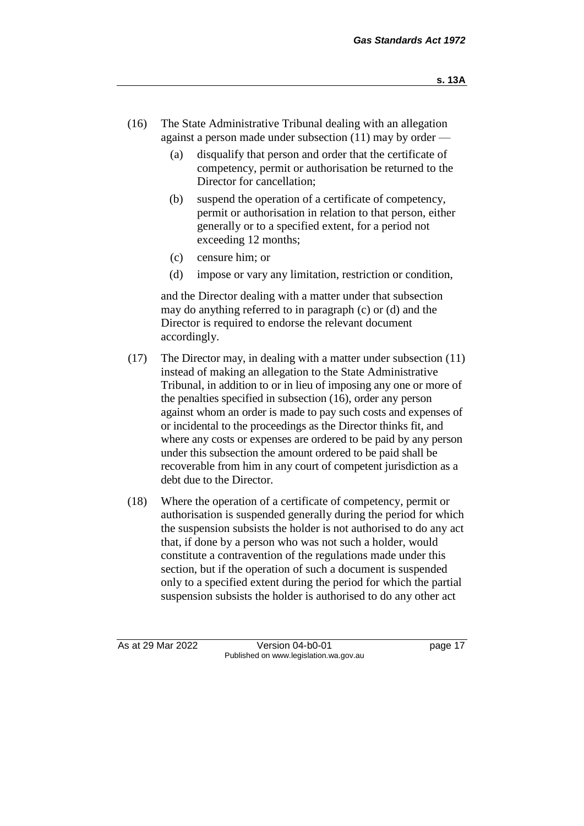- (16) The State Administrative Tribunal dealing with an allegation against a person made under subsection (11) may by order —
	- (a) disqualify that person and order that the certificate of competency, permit or authorisation be returned to the Director for cancellation;
	- (b) suspend the operation of a certificate of competency, permit or authorisation in relation to that person, either generally or to a specified extent, for a period not exceeding 12 months;
	- (c) censure him; or
	- (d) impose or vary any limitation, restriction or condition,

and the Director dealing with a matter under that subsection may do anything referred to in paragraph (c) or (d) and the Director is required to endorse the relevant document accordingly.

- (17) The Director may, in dealing with a matter under subsection (11) instead of making an allegation to the State Administrative Tribunal, in addition to or in lieu of imposing any one or more of the penalties specified in subsection (16), order any person against whom an order is made to pay such costs and expenses of or incidental to the proceedings as the Director thinks fit, and where any costs or expenses are ordered to be paid by any person under this subsection the amount ordered to be paid shall be recoverable from him in any court of competent jurisdiction as a debt due to the Director.
- (18) Where the operation of a certificate of competency, permit or authorisation is suspended generally during the period for which the suspension subsists the holder is not authorised to do any act that, if done by a person who was not such a holder, would constitute a contravention of the regulations made under this section, but if the operation of such a document is suspended only to a specified extent during the period for which the partial suspension subsists the holder is authorised to do any other act

As at 29 Mar 2022 Version 04-b0-01 page 17 Published on www.legislation.wa.gov.au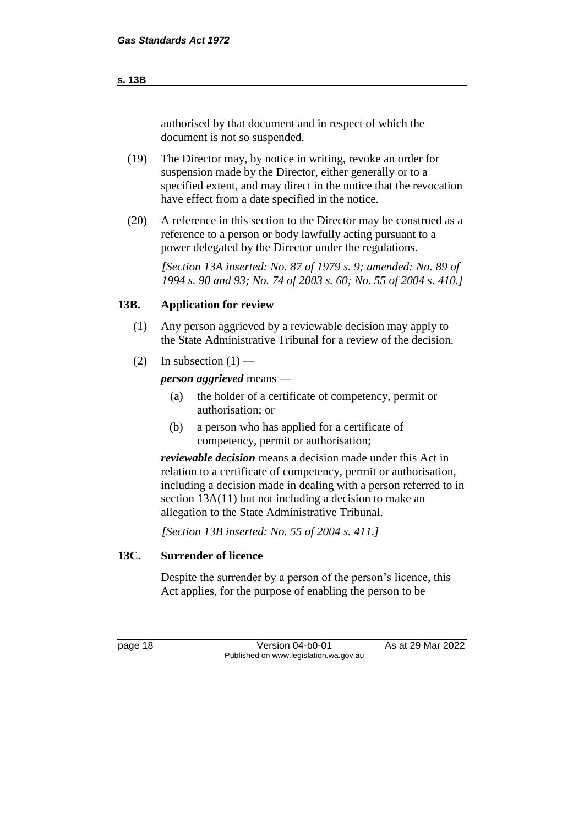authorised by that document and in respect of which the document is not so suspended.

- (19) The Director may, by notice in writing, revoke an order for suspension made by the Director, either generally or to a specified extent, and may direct in the notice that the revocation have effect from a date specified in the notice.
- (20) A reference in this section to the Director may be construed as a reference to a person or body lawfully acting pursuant to a power delegated by the Director under the regulations.

*[Section 13A inserted: No. 87 of 1979 s. 9; amended: No. 89 of 1994 s. 90 and 93; No. 74 of 2003 s. 60; No. 55 of 2004 s. 410.]*

#### **13B. Application for review**

- (1) Any person aggrieved by a reviewable decision may apply to the State Administrative Tribunal for a review of the decision.
- (2) In subsection  $(1)$  —

*person aggrieved* means —

- (a) the holder of a certificate of competency, permit or authorisation; or
- (b) a person who has applied for a certificate of competency, permit or authorisation;

*reviewable decision* means a decision made under this Act in relation to a certificate of competency, permit or authorisation, including a decision made in dealing with a person referred to in section 13A(11) but not including a decision to make an allegation to the State Administrative Tribunal.

*[Section 13B inserted: No. 55 of 2004 s. 411.]*

#### **13C. Surrender of licence**

Despite the surrender by a person of the person's licence, this Act applies, for the purpose of enabling the person to be

page 18 **Version 04-b0-01** As at 29 Mar 2022 Published on www.legislation.wa.gov.au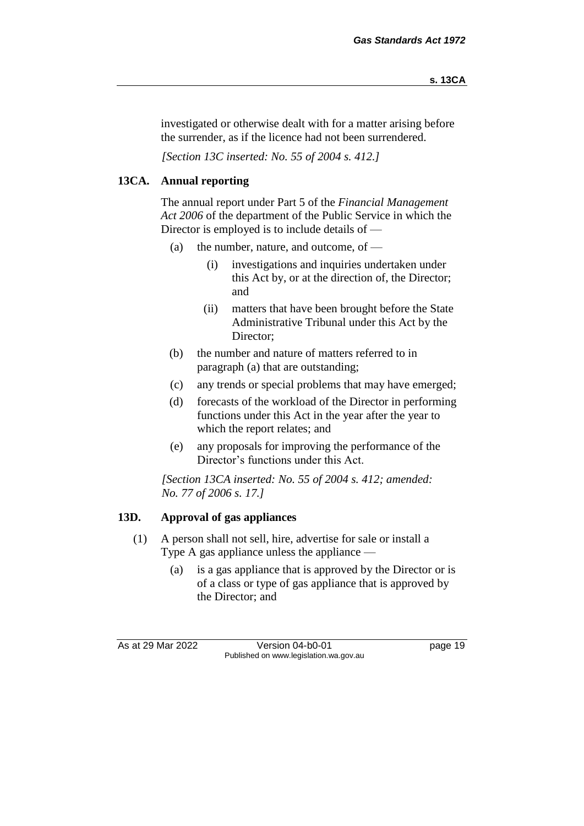investigated or otherwise dealt with for a matter arising before the surrender, as if the licence had not been surrendered.

*[Section 13C inserted: No. 55 of 2004 s. 412.]*

### **13CA. Annual reporting**

The annual report under Part 5 of the *Financial Management Act 2006* of the department of the Public Service in which the Director is employed is to include details of —

- (a) the number, nature, and outcome, of  $-$ 
	- (i) investigations and inquiries undertaken under this Act by, or at the direction of, the Director; and
	- (ii) matters that have been brought before the State Administrative Tribunal under this Act by the Director;
- (b) the number and nature of matters referred to in paragraph (a) that are outstanding;
- (c) any trends or special problems that may have emerged;
- (d) forecasts of the workload of the Director in performing functions under this Act in the year after the year to which the report relates; and
- (e) any proposals for improving the performance of the Director's functions under this Act.

*[Section 13CA inserted: No. 55 of 2004 s. 412; amended: No. 77 of 2006 s. 17.]*

#### **13D. Approval of gas appliances**

- (1) A person shall not sell, hire, advertise for sale or install a Type A gas appliance unless the appliance —
	- (a) is a gas appliance that is approved by the Director or is of a class or type of gas appliance that is approved by the Director; and

As at 29 Mar 2022 Version 04-b0-01 Quadrage 19 Published on www.legislation.wa.gov.au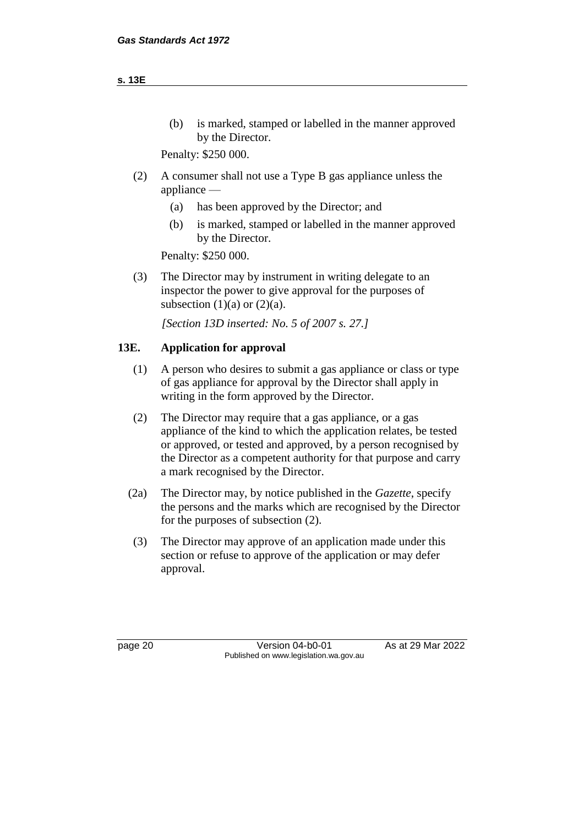(b) is marked, stamped or labelled in the manner approved by the Director.

Penalty: \$250 000.

- (2) A consumer shall not use a Type B gas appliance unless the appliance —
	- (a) has been approved by the Director; and
	- (b) is marked, stamped or labelled in the manner approved by the Director.

Penalty: \$250 000.

(3) The Director may by instrument in writing delegate to an inspector the power to give approval for the purposes of subsection  $(1)(a)$  or  $(2)(a)$ .

*[Section 13D inserted: No. 5 of 2007 s. 27.]*

#### **13E. Application for approval**

- (1) A person who desires to submit a gas appliance or class or type of gas appliance for approval by the Director shall apply in writing in the form approved by the Director.
- (2) The Director may require that a gas appliance, or a gas appliance of the kind to which the application relates, be tested or approved, or tested and approved, by a person recognised by the Director as a competent authority for that purpose and carry a mark recognised by the Director.
- (2a) The Director may, by notice published in the *Gazette*, specify the persons and the marks which are recognised by the Director for the purposes of subsection (2).
- (3) The Director may approve of an application made under this section or refuse to approve of the application or may defer approval.

page 20 **Version 04-b0-01** As at 29 Mar 2022 Published on www.legislation.wa.gov.au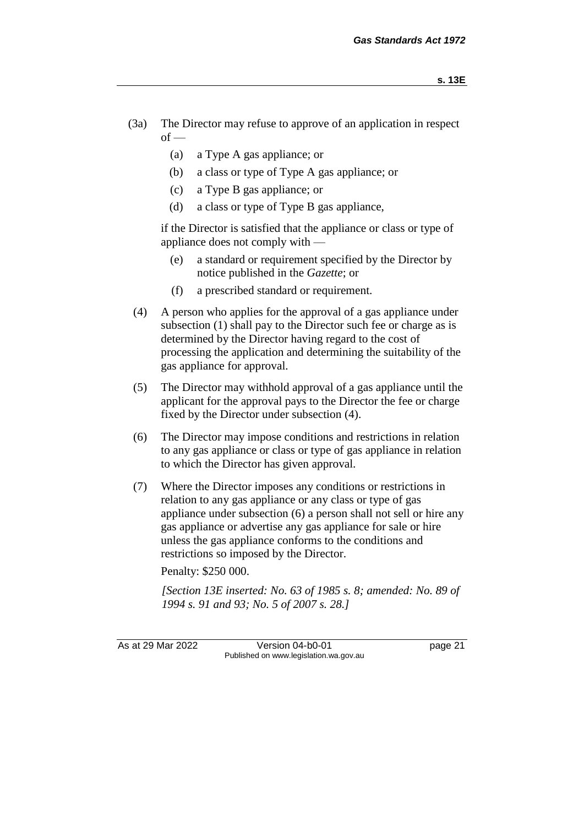- (3a) The Director may refuse to approve of an application in respect  $of -$ 
	- (a) a Type A gas appliance; or
	- (b) a class or type of Type A gas appliance; or
	- (c) a Type B gas appliance; or
	- (d) a class or type of Type B gas appliance,

if the Director is satisfied that the appliance or class or type of appliance does not comply with —

- (e) a standard or requirement specified by the Director by notice published in the *Gazette*; or
- (f) a prescribed standard or requirement.
- (4) A person who applies for the approval of a gas appliance under subsection (1) shall pay to the Director such fee or charge as is determined by the Director having regard to the cost of processing the application and determining the suitability of the gas appliance for approval.
- (5) The Director may withhold approval of a gas appliance until the applicant for the approval pays to the Director the fee or charge fixed by the Director under subsection (4).
- (6) The Director may impose conditions and restrictions in relation to any gas appliance or class or type of gas appliance in relation to which the Director has given approval.
- (7) Where the Director imposes any conditions or restrictions in relation to any gas appliance or any class or type of gas appliance under subsection (6) a person shall not sell or hire any gas appliance or advertise any gas appliance for sale or hire unless the gas appliance conforms to the conditions and restrictions so imposed by the Director.

Penalty: \$250 000.

*[Section 13E inserted: No. 63 of 1985 s. 8; amended: No. 89 of 1994 s. 91 and 93; No. 5 of 2007 s. 28.]*

As at 29 Mar 2022 Version 04-b0-01 page 21 Published on www.legislation.wa.gov.au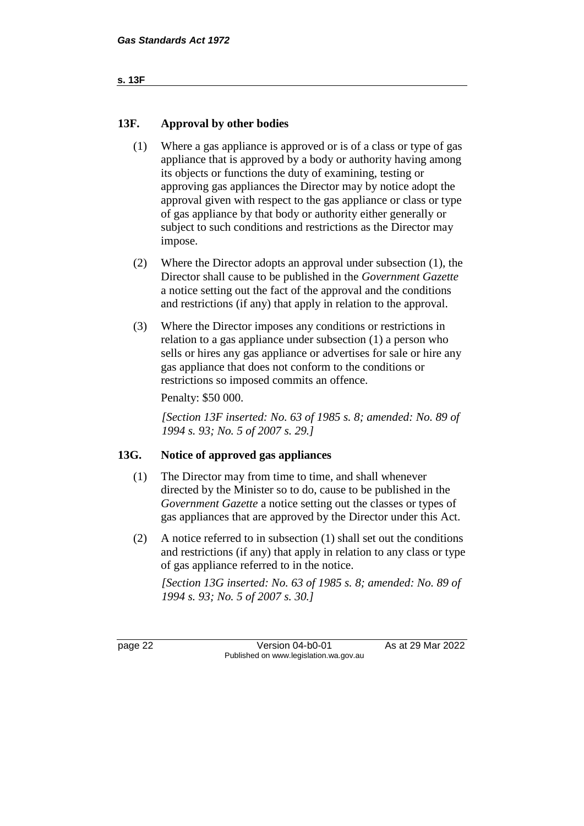```
s. 13F
```
#### **13F. Approval by other bodies**

- (1) Where a gas appliance is approved or is of a class or type of gas appliance that is approved by a body or authority having among its objects or functions the duty of examining, testing or approving gas appliances the Director may by notice adopt the approval given with respect to the gas appliance or class or type of gas appliance by that body or authority either generally or subject to such conditions and restrictions as the Director may impose.
- (2) Where the Director adopts an approval under subsection (1), the Director shall cause to be published in the *Government Gazette* a notice setting out the fact of the approval and the conditions and restrictions (if any) that apply in relation to the approval.
- (3) Where the Director imposes any conditions or restrictions in relation to a gas appliance under subsection (1) a person who sells or hires any gas appliance or advertises for sale or hire any gas appliance that does not conform to the conditions or restrictions so imposed commits an offence.

Penalty: \$50 000.

*[Section 13F inserted: No. 63 of 1985 s. 8; amended: No. 89 of 1994 s. 93; No. 5 of 2007 s. 29.]*

#### **13G. Notice of approved gas appliances**

- (1) The Director may from time to time, and shall whenever directed by the Minister so to do, cause to be published in the *Government Gazette* a notice setting out the classes or types of gas appliances that are approved by the Director under this Act.
- (2) A notice referred to in subsection (1) shall set out the conditions and restrictions (if any) that apply in relation to any class or type of gas appliance referred to in the notice.

*[Section 13G inserted: No. 63 of 1985 s. 8; amended: No. 89 of 1994 s. 93; No. 5 of 2007 s. 30.]*

page 22 **Version 04-b0-01** As at 29 Mar 2022 Published on www.legislation.wa.gov.au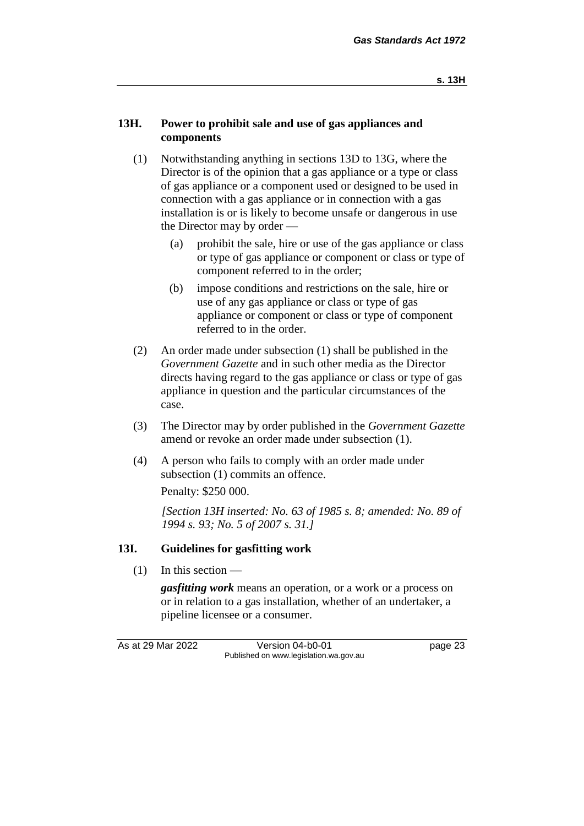#### **13H. Power to prohibit sale and use of gas appliances and components**

- (1) Notwithstanding anything in sections 13D to 13G, where the Director is of the opinion that a gas appliance or a type or class of gas appliance or a component used or designed to be used in connection with a gas appliance or in connection with a gas installation is or is likely to become unsafe or dangerous in use the Director may by order —
	- (a) prohibit the sale, hire or use of the gas appliance or class or type of gas appliance or component or class or type of component referred to in the order;
	- (b) impose conditions and restrictions on the sale, hire or use of any gas appliance or class or type of gas appliance or component or class or type of component referred to in the order.
- (2) An order made under subsection (1) shall be published in the *Government Gazette* and in such other media as the Director directs having regard to the gas appliance or class or type of gas appliance in question and the particular circumstances of the case.
- (3) The Director may by order published in the *Government Gazette* amend or revoke an order made under subsection (1).
- (4) A person who fails to comply with an order made under subsection (1) commits an offence.

Penalty: \$250 000.

*[Section 13H inserted: No. 63 of 1985 s. 8; amended: No. 89 of 1994 s. 93; No. 5 of 2007 s. 31.]*

#### **13I. Guidelines for gasfitting work**

 $(1)$  In this section —

*gasfitting work* means an operation, or a work or a process on or in relation to a gas installation, whether of an undertaker, a pipeline licensee or a consumer.

As at 29 Mar 2022 Version 04-b0-01 page 23 Published on www.legislation.wa.gov.au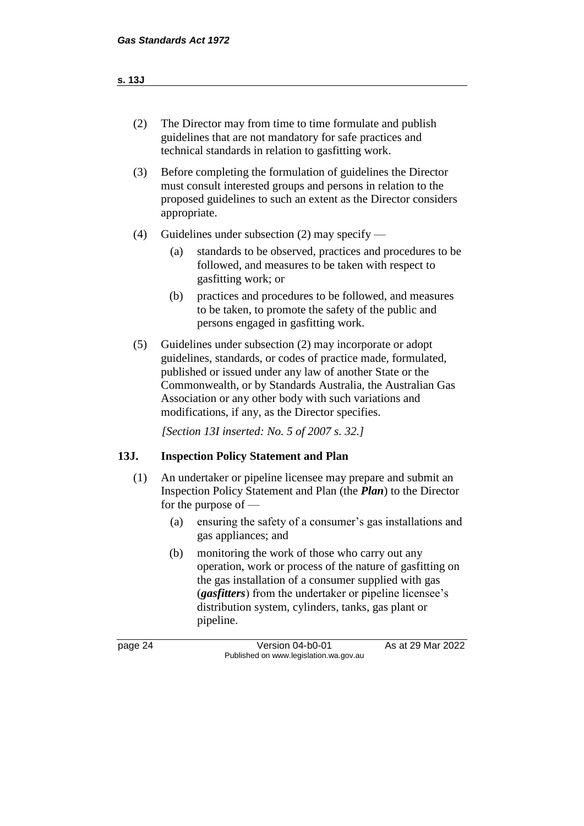#### **s. 13J**

- (2) The Director may from time to time formulate and publish guidelines that are not mandatory for safe practices and technical standards in relation to gasfitting work.
- (3) Before completing the formulation of guidelines the Director must consult interested groups and persons in relation to the proposed guidelines to such an extent as the Director considers appropriate.
- (4) Guidelines under subsection (2) may specify
	- (a) standards to be observed, practices and procedures to be followed, and measures to be taken with respect to gasfitting work; or
	- (b) practices and procedures to be followed, and measures to be taken, to promote the safety of the public and persons engaged in gasfitting work.
- (5) Guidelines under subsection (2) may incorporate or adopt guidelines, standards, or codes of practice made, formulated, published or issued under any law of another State or the Commonwealth, or by Standards Australia, the Australian Gas Association or any other body with such variations and modifications, if any, as the Director specifies.

*[Section 13I inserted: No. 5 of 2007 s. 32.]*

#### **13J. Inspection Policy Statement and Plan**

- (1) An undertaker or pipeline licensee may prepare and submit an Inspection Policy Statement and Plan (the *Plan*) to the Director for the purpose of —
	- (a) ensuring the safety of a consumer's gas installations and gas appliances; and
	- (b) monitoring the work of those who carry out any operation, work or process of the nature of gasfitting on the gas installation of a consumer supplied with gas (*gasfitters*) from the undertaker or pipeline licensee's distribution system, cylinders, tanks, gas plant or pipeline.

page 24 Version 04-b0-01 As at 29 Mar 2022 Published on www.legislation.wa.gov.au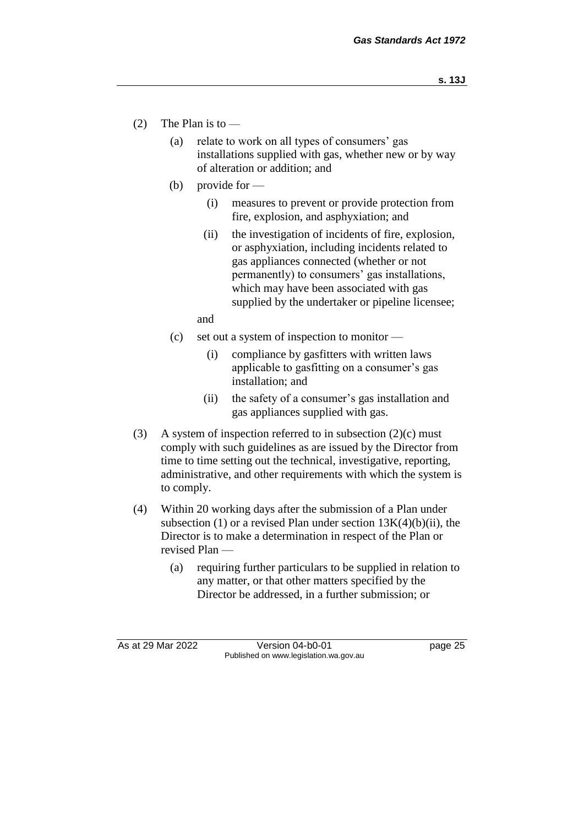- (2) The Plan is to
	- (a) relate to work on all types of consumers' gas installations supplied with gas, whether new or by way of alteration or addition; and
	- (b) provide for  $-$ 
		- (i) measures to prevent or provide protection from fire, explosion, and asphyxiation; and
		- (ii) the investigation of incidents of fire, explosion, or asphyxiation, including incidents related to gas appliances connected (whether or not permanently) to consumers' gas installations, which may have been associated with gas supplied by the undertaker or pipeline licensee;

and

- (c) set out a system of inspection to monitor
	- (i) compliance by gasfitters with written laws applicable to gasfitting on a consumer's gas installation; and
	- (ii) the safety of a consumer's gas installation and gas appliances supplied with gas.
- (3) A system of inspection referred to in subsection  $(2)(c)$  must comply with such guidelines as are issued by the Director from time to time setting out the technical, investigative, reporting, administrative, and other requirements with which the system is to comply.
- (4) Within 20 working days after the submission of a Plan under subsection (1) or a revised Plan under section  $13K(4)(b)(ii)$ , the Director is to make a determination in respect of the Plan or revised Plan —
	- (a) requiring further particulars to be supplied in relation to any matter, or that other matters specified by the Director be addressed, in a further submission; or

As at 29 Mar 2022 Version 04-b0-01 page 25 Published on www.legislation.wa.gov.au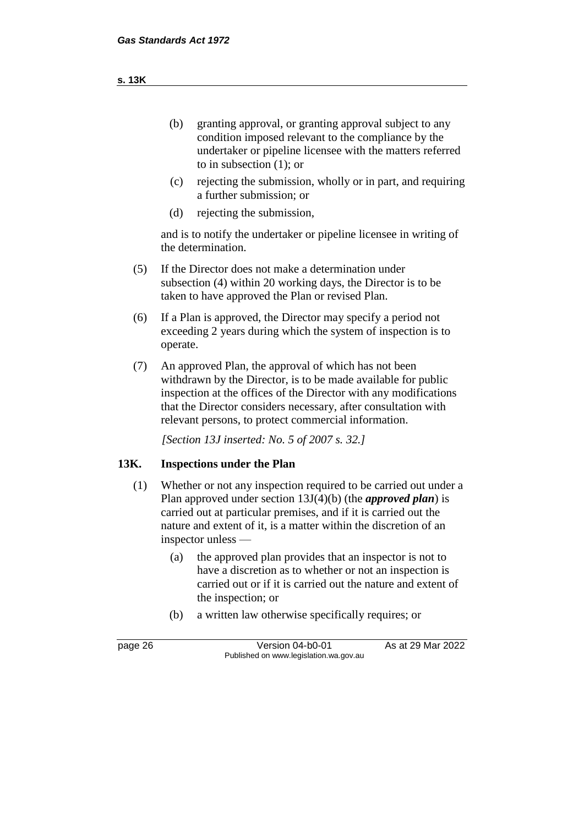- (b) granting approval, or granting approval subject to any condition imposed relevant to the compliance by the undertaker or pipeline licensee with the matters referred to in subsection (1); or
- (c) rejecting the submission, wholly or in part, and requiring a further submission; or
- (d) rejecting the submission,

and is to notify the undertaker or pipeline licensee in writing of the determination.

- (5) If the Director does not make a determination under subsection (4) within 20 working days, the Director is to be taken to have approved the Plan or revised Plan.
- (6) If a Plan is approved, the Director may specify a period not exceeding 2 years during which the system of inspection is to operate.
- (7) An approved Plan, the approval of which has not been withdrawn by the Director, is to be made available for public inspection at the offices of the Director with any modifications that the Director considers necessary, after consultation with relevant persons, to protect commercial information.

*[Section 13J inserted: No. 5 of 2007 s. 32.]*

#### **13K. Inspections under the Plan**

- (1) Whether or not any inspection required to be carried out under a Plan approved under section 13J(4)(b) (the *approved plan*) is carried out at particular premises, and if it is carried out the nature and extent of it, is a matter within the discretion of an inspector unless —
	- (a) the approved plan provides that an inspector is not to have a discretion as to whether or not an inspection is carried out or if it is carried out the nature and extent of the inspection; or
	- (b) a written law otherwise specifically requires; or

page 26 Version 04-b0-01 As at 29 Mar 2022 Published on www.legislation.wa.gov.au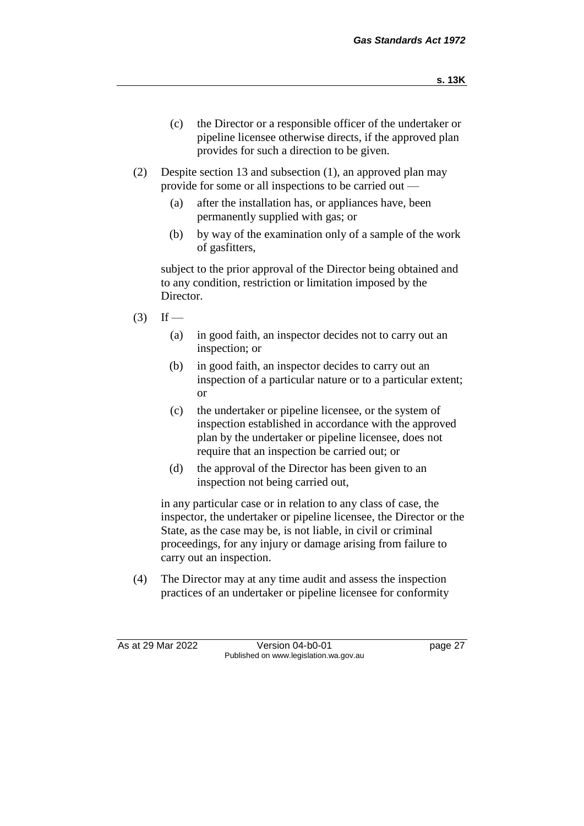- (c) the Director or a responsible officer of the undertaker or pipeline licensee otherwise directs, if the approved plan provides for such a direction to be given.
- (2) Despite section 13 and subsection (1), an approved plan may provide for some or all inspections to be carried out —
	- (a) after the installation has, or appliances have, been permanently supplied with gas; or
	- (b) by way of the examination only of a sample of the work of gasfitters,

subject to the prior approval of the Director being obtained and to any condition, restriction or limitation imposed by the Director.

- $(3)$  If
	- (a) in good faith, an inspector decides not to carry out an inspection; or
	- (b) in good faith, an inspector decides to carry out an inspection of a particular nature or to a particular extent; or
	- (c) the undertaker or pipeline licensee, or the system of inspection established in accordance with the approved plan by the undertaker or pipeline licensee, does not require that an inspection be carried out; or
	- (d) the approval of the Director has been given to an inspection not being carried out,

in any particular case or in relation to any class of case, the inspector, the undertaker or pipeline licensee, the Director or the State, as the case may be, is not liable, in civil or criminal proceedings, for any injury or damage arising from failure to carry out an inspection.

(4) The Director may at any time audit and assess the inspection practices of an undertaker or pipeline licensee for conformity

As at 29 Mar 2022 Version 04-b0-01 page 27 Published on www.legislation.wa.gov.au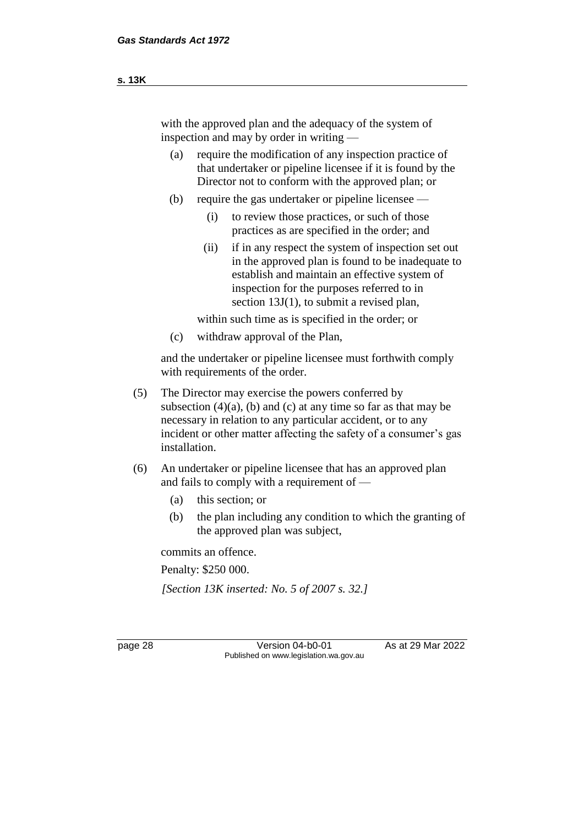- (a) require the modification of any inspection practice of that undertaker or pipeline licensee if it is found by the Director not to conform with the approved plan; or
- (b) require the gas undertaker or pipeline licensee
	- (i) to review those practices, or such of those practices as are specified in the order; and
	- (ii) if in any respect the system of inspection set out in the approved plan is found to be inadequate to establish and maintain an effective system of inspection for the purposes referred to in section 13J(1), to submit a revised plan,

within such time as is specified in the order; or

(c) withdraw approval of the Plan,

and the undertaker or pipeline licensee must forthwith comply with requirements of the order.

- (5) The Director may exercise the powers conferred by subsection  $(4)(a)$ , (b) and (c) at any time so far as that may be necessary in relation to any particular accident, or to any incident or other matter affecting the safety of a consumer's gas installation.
- (6) An undertaker or pipeline licensee that has an approved plan and fails to comply with a requirement of —
	- (a) this section; or
	- (b) the plan including any condition to which the granting of the approved plan was subject,

commits an offence. Penalty: \$250 000.

*[Section 13K inserted: No. 5 of 2007 s. 32.]*

page 28 Version 04-b0-01 As at 29 Mar 2022 Published on www.legislation.wa.gov.au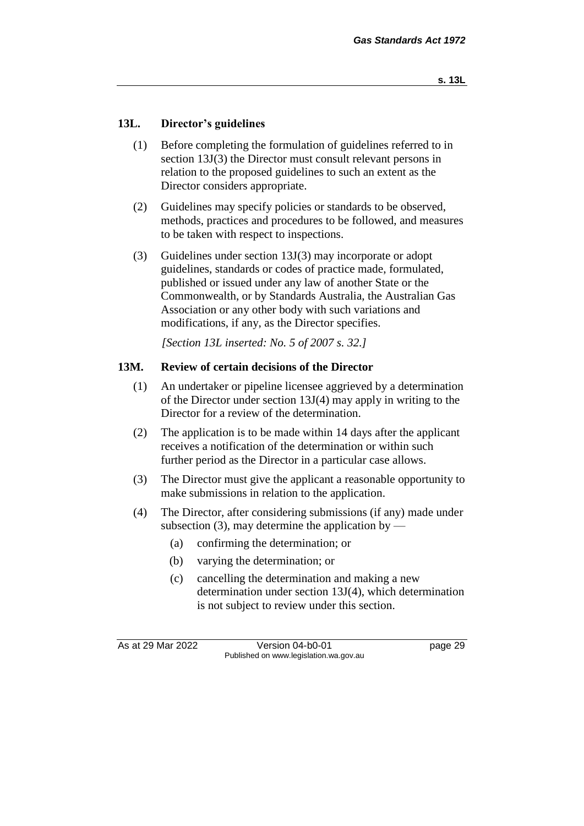#### **13L. Director's guidelines**

- (1) Before completing the formulation of guidelines referred to in section 13J(3) the Director must consult relevant persons in relation to the proposed guidelines to such an extent as the Director considers appropriate.
- (2) Guidelines may specify policies or standards to be observed, methods, practices and procedures to be followed, and measures to be taken with respect to inspections.
- (3) Guidelines under section 13J(3) may incorporate or adopt guidelines, standards or codes of practice made, formulated, published or issued under any law of another State or the Commonwealth, or by Standards Australia, the Australian Gas Association or any other body with such variations and modifications, if any, as the Director specifies.

*[Section 13L inserted: No. 5 of 2007 s. 32.]*

#### **13M. Review of certain decisions of the Director**

- (1) An undertaker or pipeline licensee aggrieved by a determination of the Director under section 13J(4) may apply in writing to the Director for a review of the determination.
- (2) The application is to be made within 14 days after the applicant receives a notification of the determination or within such further period as the Director in a particular case allows.
- (3) The Director must give the applicant a reasonable opportunity to make submissions in relation to the application.
- (4) The Director, after considering submissions (if any) made under subsection  $(3)$ , may determine the application by —
	- (a) confirming the determination; or
	- (b) varying the determination; or
	- (c) cancelling the determination and making a new determination under section 13J(4), which determination is not subject to review under this section.

As at 29 Mar 2022 Version 04-b0-01 page 29 Published on www.legislation.wa.gov.au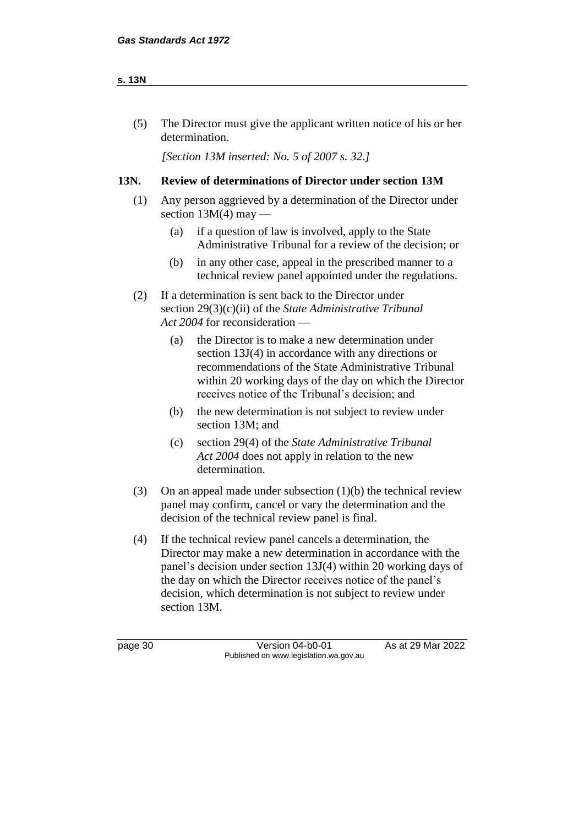#### **s. 13N**

(5) The Director must give the applicant written notice of his or her determination.

*[Section 13M inserted: No. 5 of 2007 s. 32.]*

#### **13N. Review of determinations of Director under section 13M**

- (1) Any person aggrieved by a determination of the Director under section  $13M(4)$  may —
	- (a) if a question of law is involved, apply to the State Administrative Tribunal for a review of the decision; or
	- (b) in any other case, appeal in the prescribed manner to a technical review panel appointed under the regulations.
- (2) If a determination is sent back to the Director under section 29(3)(c)(ii) of the *State Administrative Tribunal Act 2004* for reconsideration —
	- (a) the Director is to make a new determination under section 13J(4) in accordance with any directions or recommendations of the State Administrative Tribunal within 20 working days of the day on which the Director receives notice of the Tribunal's decision; and
	- (b) the new determination is not subject to review under section 13M; and
	- (c) section 29(4) of the *State Administrative Tribunal Act 2004* does not apply in relation to the new determination.
- (3) On an appeal made under subsection  $(1)(b)$  the technical review panel may confirm, cancel or vary the determination and the decision of the technical review panel is final.
- (4) If the technical review panel cancels a determination, the Director may make a new determination in accordance with the panel's decision under section 13J(4) within 20 working days of the day on which the Director receives notice of the panel's decision, which determination is not subject to review under section 13M.

page 30 **Version 04-b0-01** As at 29 Mar 2022 Published on www.legislation.wa.gov.au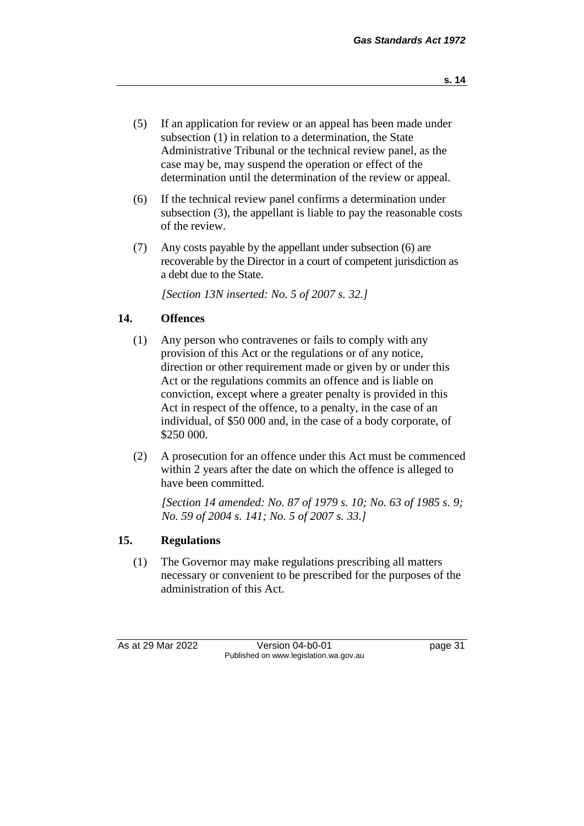- (5) If an application for review or an appeal has been made under subsection (1) in relation to a determination, the State Administrative Tribunal or the technical review panel, as the case may be, may suspend the operation or effect of the determination until the determination of the review or appeal.
- (6) If the technical review panel confirms a determination under subsection (3), the appellant is liable to pay the reasonable costs of the review.
- (7) Any costs payable by the appellant under subsection (6) are recoverable by the Director in a court of competent jurisdiction as a debt due to the State.

*[Section 13N inserted: No. 5 of 2007 s. 32.]*

#### **14. Offences**

- (1) Any person who contravenes or fails to comply with any provision of this Act or the regulations or of any notice, direction or other requirement made or given by or under this Act or the regulations commits an offence and is liable on conviction, except where a greater penalty is provided in this Act in respect of the offence, to a penalty, in the case of an individual, of \$50 000 and, in the case of a body corporate, of \$250 000.
- (2) A prosecution for an offence under this Act must be commenced within 2 years after the date on which the offence is alleged to have been committed.

*[Section 14 amended: No. 87 of 1979 s. 10; No. 63 of 1985 s. 9; No. 59 of 2004 s. 141; No. 5 of 2007 s. 33.]*

#### **15. Regulations**

(1) The Governor may make regulations prescribing all matters necessary or convenient to be prescribed for the purposes of the administration of this Act.

As at 29 Mar 2022 Version 04-b0-01 page 31 Published on www.legislation.wa.gov.au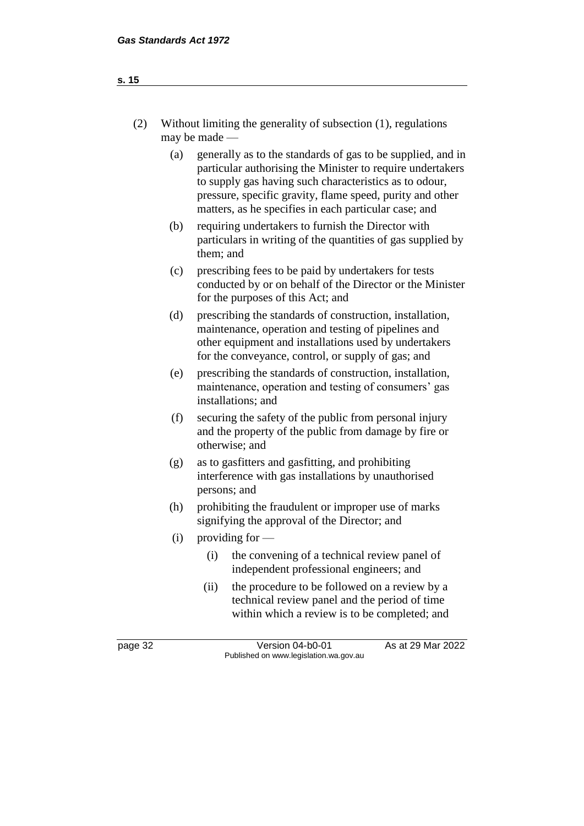| (2)     |     | Without limiting the generality of subsection $(1)$ , regulations<br>may be made -                                                                                                                                                                                                                        |  |  |  |  |
|---------|-----|-----------------------------------------------------------------------------------------------------------------------------------------------------------------------------------------------------------------------------------------------------------------------------------------------------------|--|--|--|--|
|         | (a) | generally as to the standards of gas to be supplied, and in<br>particular authorising the Minister to require undertakers<br>to supply gas having such characteristics as to odour,<br>pressure, specific gravity, flame speed, purity and other<br>matters, as he specifies in each particular case; and |  |  |  |  |
|         | (b) | requiring undertakers to furnish the Director with<br>particulars in writing of the quantities of gas supplied by<br>them; and                                                                                                                                                                            |  |  |  |  |
|         | (c) | prescribing fees to be paid by undertakers for tests<br>conducted by or on behalf of the Director or the Minister<br>for the purposes of this Act; and                                                                                                                                                    |  |  |  |  |
|         | (d) | prescribing the standards of construction, installation,<br>maintenance, operation and testing of pipelines and<br>other equipment and installations used by undertakers<br>for the conveyance, control, or supply of gas; and                                                                            |  |  |  |  |
|         | (e) | prescribing the standards of construction, installation,<br>maintenance, operation and testing of consumers' gas<br>installations; and                                                                                                                                                                    |  |  |  |  |
|         | (f) | securing the safety of the public from personal injury<br>and the property of the public from damage by fire or<br>otherwise; and                                                                                                                                                                         |  |  |  |  |
|         | (g) | as to gasfitters and gasfitting, and prohibiting<br>interference with gas installations by unauthorised<br>persons; and                                                                                                                                                                                   |  |  |  |  |
| (h)     |     | prohibiting the fraudulent or improper use of marks<br>signifying the approval of the Director; and                                                                                                                                                                                                       |  |  |  |  |
|         | (i) | providing for $-$                                                                                                                                                                                                                                                                                         |  |  |  |  |
|         |     | the convening of a technical review panel of<br>(i)<br>independent professional engineers; and                                                                                                                                                                                                            |  |  |  |  |
|         |     | the procedure to be followed on a review by a<br>(ii)<br>technical review panel and the period of time<br>within which a review is to be completed; and                                                                                                                                                   |  |  |  |  |
| page 32 |     | As at 29 Mar 2022<br>Version 04-b0-01<br>Published on www.legislation.wa.gov.au                                                                                                                                                                                                                           |  |  |  |  |

# **s. 15**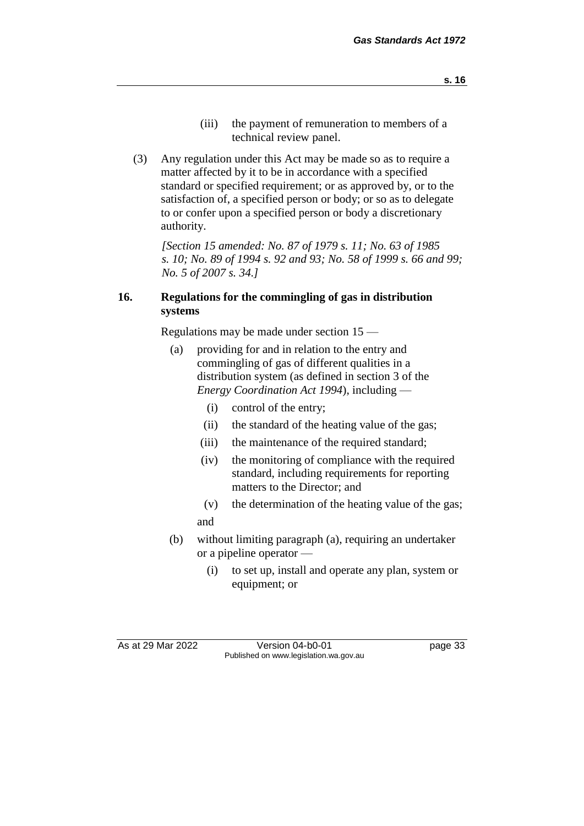- (iii) the payment of remuneration to members of a technical review panel.
- (3) Any regulation under this Act may be made so as to require a matter affected by it to be in accordance with a specified standard or specified requirement; or as approved by, or to the satisfaction of, a specified person or body; or so as to delegate to or confer upon a specified person or body a discretionary authority.

*[Section 15 amended: No. 87 of 1979 s. 11; No. 63 of 1985 s. 10; No. 89 of 1994 s. 92 and 93; No. 58 of 1999 s. 66 and 99; No. 5 of 2007 s. 34.]*

#### **16. Regulations for the commingling of gas in distribution systems**

Regulations may be made under section 15 —

- (a) providing for and in relation to the entry and commingling of gas of different qualities in a distribution system (as defined in section 3 of the *Energy Coordination Act 1994*), including —
	- (i) control of the entry;
	- (ii) the standard of the heating value of the gas;
	- (iii) the maintenance of the required standard;
	- (iv) the monitoring of compliance with the required standard, including requirements for reporting matters to the Director; and
	- (v) the determination of the heating value of the gas; and
- (b) without limiting paragraph (a), requiring an undertaker or a pipeline operator —
	- (i) to set up, install and operate any plan, system or equipment; or

As at 29 Mar 2022 Version 04-b0-01 page 33 Published on www.legislation.wa.gov.au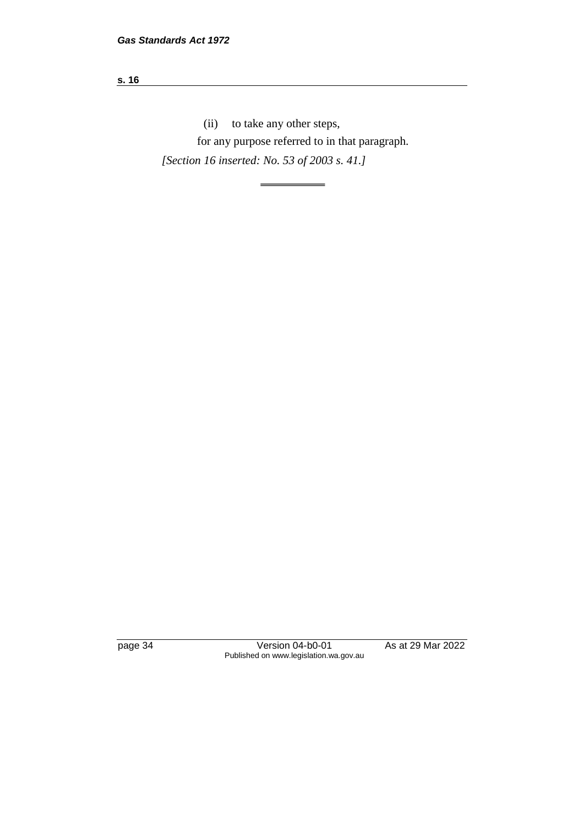#### **s. 16**

(ii) to take any other steps,

for any purpose referred to in that paragraph.

*[Section 16 inserted: No. 53 of 2003 s. 41.]*

page 34 Version 04-b0-01 As at 29 Mar 2022 Published on www.legislation.wa.gov.au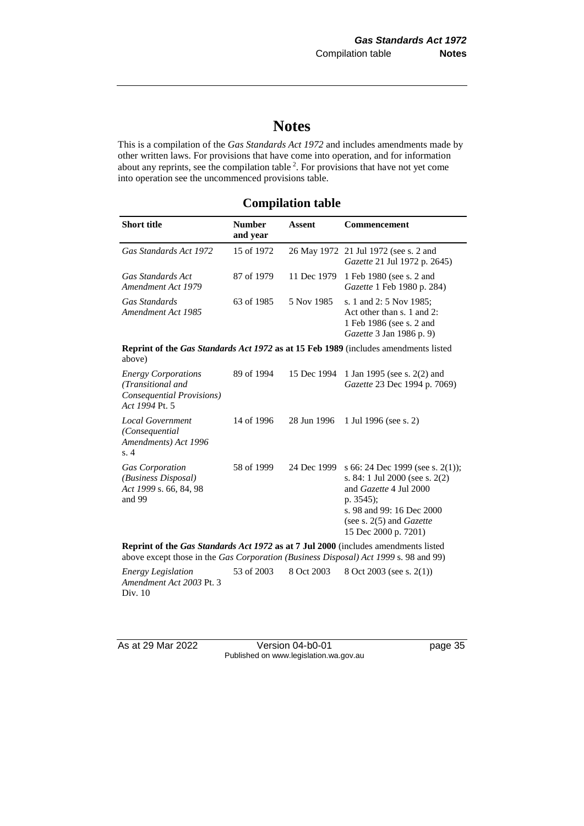# **Notes**

This is a compilation of the *Gas Standards Act 1972* and includes amendments made by other written laws. For provisions that have come into operation, and for information about any reprints, see the compilation table  $2$ . For provisions that have not yet come into operation see the uncommenced provisions table.

## **Compilation table**

| <b>Short title</b>                                                                                                                                                         | <b>Number</b><br>and year | <b>Assent</b> | <b>Commencement</b>                                                                                                                                                                                     |
|----------------------------------------------------------------------------------------------------------------------------------------------------------------------------|---------------------------|---------------|---------------------------------------------------------------------------------------------------------------------------------------------------------------------------------------------------------|
| Gas Standards Act 1972                                                                                                                                                     | 15 of 1972                |               | 26 May 1972 21 Jul 1972 (see s. 2 and<br>Gazette 21 Jul 1972 p. 2645)                                                                                                                                   |
| Gas Standards Act<br>Amendment Act 1979                                                                                                                                    | 87 of 1979                | 11 Dec 1979   | 1 Feb 1980 (see s. 2 and<br>Gazette 1 Feb 1980 p. 284)                                                                                                                                                  |
| Gas Standards<br>Amendment Act 1985                                                                                                                                        | 63 of 1985                | 5 Nov 1985    | s. 1 and 2: 5 Nov 1985;<br>Act other than s. 1 and 2:<br>1 Feb 1986 (see s. 2 and<br>Gazette 3 Jan 1986 p. 9)                                                                                           |
| above)                                                                                                                                                                     |                           |               | <b>Reprint of the Gas Standards Act 1972 as at 15 Feb 1989</b> (includes amendments listed                                                                                                              |
| <b>Energy Corporations</b><br>(Transitional and<br>Consequential Provisions)<br>Act 1994 Pt. 5                                                                             | 89 of 1994                | 15 Dec 1994   | 1 Jan 1995 (see s. 2(2) and<br>Gazette 23 Dec 1994 p. 7069)                                                                                                                                             |
| Local Government<br>(Consequential<br>Amendments) Act 1996<br>s.4                                                                                                          | 14 of 1996                | 28 Jun 1996   | 1 Jul 1996 (see s. 2)                                                                                                                                                                                   |
| <b>Gas Corporation</b><br>(Business Disposal)<br>Act 1999 s. 66, 84, 98<br>and 99                                                                                          | 58 of 1999                | 24 Dec 1999   | s 66: 24 Dec 1999 (see s. 2(1));<br>s. 84: 1 Jul 2000 (see s. $2(2)$ )<br>and Gazette 4 Jul 2000<br>p. 3545);<br>s. 98 and 99: 16 Dec 2000<br>(see s. $2(5)$ and <i>Gazette</i><br>15 Dec 2000 p. 7201) |
| Reprint of the Gas Standards Act 1972 as at 7 Jul 2000 (includes amendments listed<br>above except those in the Gas Corporation (Business Disposal) Act 1999 s. 98 and 99) |                           |               |                                                                                                                                                                                                         |
| <b>Energy Legislation</b><br>Amendment Act 2003 Pt. 3<br>Div. 10                                                                                                           | 53 of 2003                | 8 Oct 2003    | 8 Oct 2003 (see s. 2(1))                                                                                                                                                                                |

As at 29 Mar 2022 Version 04-b0-01 page 35 Published on www.legislation.wa.gov.au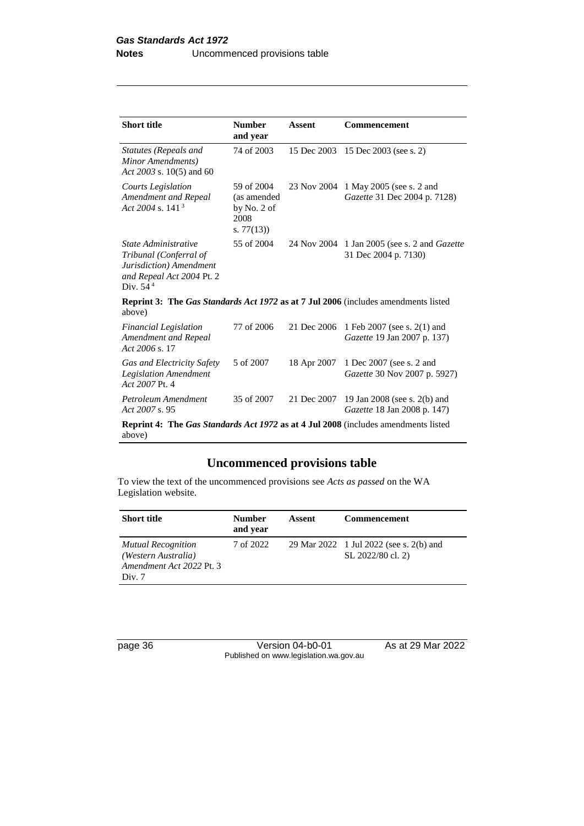| <b>Short title</b>                                                                                                   | <b>Number</b><br>and year                                                                 | Assent      | Commencement                                                                |  |  |
|----------------------------------------------------------------------------------------------------------------------|-------------------------------------------------------------------------------------------|-------------|-----------------------------------------------------------------------------|--|--|
| Statutes (Repeals and<br>Minor Amendments)<br>Act 2003 s. 10(5) and 60                                               | 74 of 2003                                                                                |             | 15 Dec 2003 15 Dec 2003 (see s. 2)                                          |  |  |
| <b>Courts Legislation</b><br>Amendment and Repeal<br>Act 2004 s. 141 $3$                                             | 59 of 2004<br>(as amended<br>by No. 2 of<br>2008<br>s. $77(13)$                           | 23 Nov 2004 | 1 May 2005 (see s. 2 and<br>Gazette 31 Dec 2004 p. 7128)                    |  |  |
| State Administrative<br>Tribunal (Conferral of<br>Jurisdiction) Amendment<br>and Repeal Act 2004 Pt. 2<br>Div. $544$ | 55 of 2004                                                                                |             | 24 Nov 2004 1 Jan 2005 (see s. 2 and <i>Gazette</i><br>31 Dec 2004 p. 7130) |  |  |
| above)                                                                                                               | <b>Reprint 3: The Gas Standards Act 1972 as at 7 Jul 2006</b> (includes amendments listed |             |                                                                             |  |  |
| <b>Financial Legislation</b><br>Amendment and Repeal<br>Act 2006 s. 17                                               | 77 of 2006                                                                                | 21 Dec 2006 | 1 Feb 2007 (see s. 2(1) and<br>Gazette 19 Jan 2007 p. 137)                  |  |  |
| Gas and Electricity Safety<br><b>Legislation Amendment</b><br>Act 2007 Pt. 4                                         | 5 of 2007                                                                                 | 18 Apr 2007 | 1 Dec 2007 (see s. 2 and<br>Gazette 30 Nov 2007 p. 5927)                    |  |  |
| Petroleum Amendment<br>Act 2007 s. 95                                                                                | 35 of 2007                                                                                | 21 Dec 2007 | 19 Jan 2008 (see s. 2(b) and<br>Gazette 18 Jan 2008 p. 147)                 |  |  |
| <b>Reprint 4: The Gas Standards Act 1972 as at 4 Jul 2008</b> (includes amendments listed<br>above)                  |                                                                                           |             |                                                                             |  |  |

## **Uncommenced provisions table**

To view the text of the uncommenced provisions see *Acts as passed* on the WA Legislation website.

| <b>Short title</b>                                                                     | <b>Number</b><br>and year | Assent | <b>Commencement</b>                                          |
|----------------------------------------------------------------------------------------|---------------------------|--------|--------------------------------------------------------------|
| <b>Mutual Recognition</b><br>(Western Australia)<br>Amendment Act 2022 Pt. 3<br>Div. 7 | 7 of 2022                 |        | 29 Mar 2022 1 Jul 2022 (see s. 2(b) and<br>SL 2022/80 cl. 2) |

page 36 Version 04-b0-01 As at 29 Mar 2022 Published on www.legislation.wa.gov.au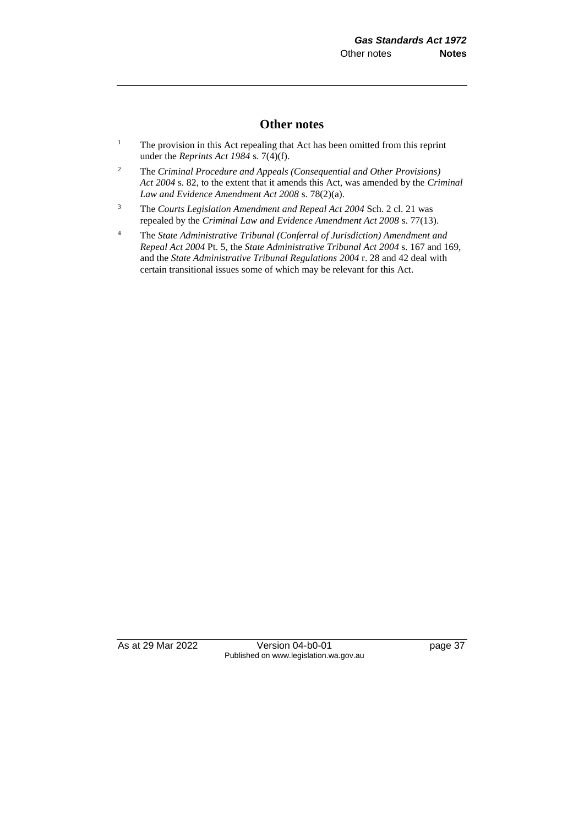#### **Other notes**

- <sup>1</sup> The provision in this Act repealing that Act has been omitted from this reprint under the *Reprints Act 1984* s. 7(4)(f).
- <sup>2</sup> The *Criminal Procedure and Appeals (Consequential and Other Provisions) Act 2004* s. 82, to the extent that it amends this Act, was amended by the *Criminal Law and Evidence Amendment Act 2008* s. 78(2)(a).
- <sup>3</sup> The *Courts Legislation Amendment and Repeal Act 2004* Sch. 2 cl. 21 was repealed by the *Criminal Law and Evidence Amendment Act 2008* s. 77(13).
- <sup>4</sup> The *State Administrative Tribunal (Conferral of Jurisdiction) Amendment and Repeal Act 2004* Pt. 5, the *State Administrative Tribunal Act 2004* s. 167 and 169, and the *State Administrative Tribunal Regulations 2004* r. 28 and 42 deal with certain transitional issues some of which may be relevant for this Act.

As at 29 Mar 2022 Version 04-b0-01 page 37 Published on www.legislation.wa.gov.au